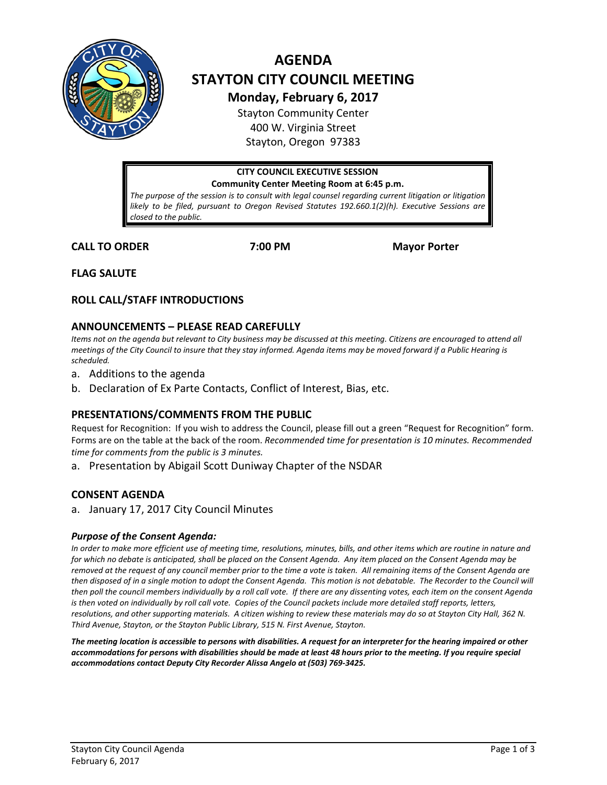

# **AGENDA STAYTON CITY COUNCIL MEETING Monday, February 6, 2017**

Stayton Community Center 400 W. Virginia Street Stayton, Oregon 97383

# **CITY COUNCIL EXECUTIVE SESSION Community Center Meeting Room at 6:45 p.m.**

The purpose of the session is to consult with legal counsel regarding current litigation or litigation *likely to be filed, pursuant to Oregon Revised Statutes 192.660.1(2)(h). Executive Sessions are closed to the public.*

**CALL TO ORDER 7:00 PM Mayor Porter**

**FLAG SALUTE**

# **ROLL CALL/STAFF INTRODUCTIONS**

# **ANNOUNCEMENTS – PLEASE READ CAREFULLY**

*Items not on the agenda but relevant to City business may be discussed at this meeting. Citizens are encouraged to attend all meetings of the City Council to insure that they stay informed. Agenda items may be moved forward if a Public Hearing is scheduled.*

- a. Additions to the agenda
- b. Declaration of Ex Parte Contacts, Conflict of Interest, Bias, etc.

# **PRESENTATIONS/COMMENTS FROM THE PUBLIC**

Request for Recognition: If you wish to address the Council, please fill out a green "Request for Recognition" form. Forms are on the table at the back of the room. *Recommended time for presentation is 10 minutes. Recommended time for comments from the public is 3 minutes.*

a. Presentation by Abigail Scott Duniway Chapter of the NSDAR

# **CONSENT AGENDA**

a. January 17, 2017 City Council Minutes

### *Purpose of the Consent Agenda:*

*In order to make more efficient use of meeting time, resolutions, minutes, bills, and other items which are routine in nature and for which no debate is anticipated, shall be placed on the Consent Agenda. Any item placed on the Consent Agenda may be removed at the request of any council member prior to the time a vote is taken. All remaining items of the Consent Agenda are then disposed of in a single motion to adopt the Consent Agenda. This motion is not debatable. The Recorder to the Council will then poll the council members individually by a roll call vote. If there are any dissenting votes, each item on the consent Agenda is then voted on individually by roll call vote. Copies of the Council packets include more detailed staff reports, letters, resolutions, and other supporting materials. A citizen wishing to review these materials may do so at Stayton City Hall, 362 N. Third Avenue, Stayton, or the Stayton Public Library, 515 N. First Avenue, Stayton.*

*The meeting location is accessible to persons with disabilities. A request for an interpreter for the hearing impaired or other accommodations for persons with disabilities should be made at least 48 hours prior to the meeting. If you require special accommodations contact Deputy City Recorder Alissa Angelo at (503) 769-3425.*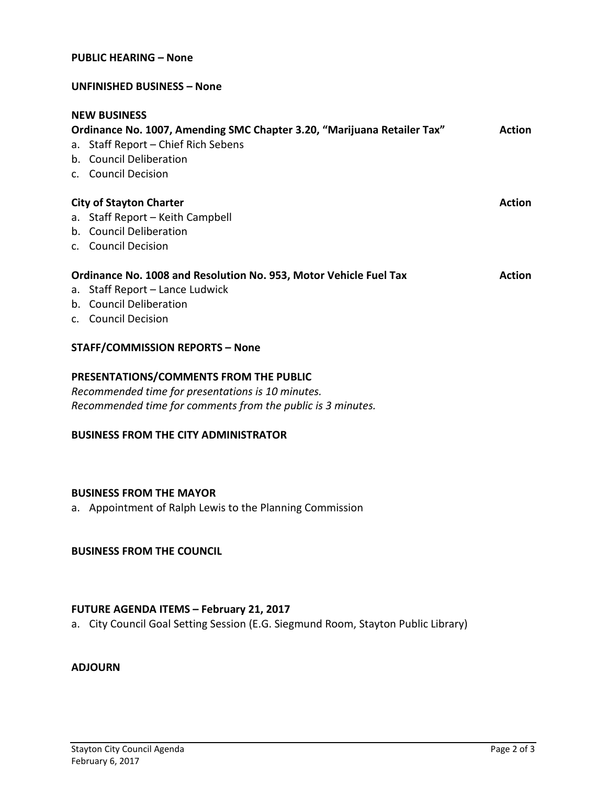#### **UNFINISHED BUSINESS – None**

| <b>NEW BUSINESS</b>                                                     |               |
|-------------------------------------------------------------------------|---------------|
| Ordinance No. 1007, Amending SMC Chapter 3.20, "Marijuana Retailer Tax" | <b>Action</b> |
| a. Staff Report - Chief Rich Sebens                                     |               |
| b. Council Deliberation                                                 |               |
| c. Council Decision                                                     |               |
| <b>City of Stayton Charter</b>                                          | <b>Action</b> |
| a. Staff Report - Keith Campbell                                        |               |
| b. Council Deliberation                                                 |               |
| c. Council Decision                                                     |               |
| Ordinance No. 1008 and Resolution No. 953, Motor Vehicle Fuel Tax       | <b>Action</b> |
| a. Staff Report - Lance Ludwick                                         |               |
| b. Council Deliberation                                                 |               |
| c. Council Decision                                                     |               |
| <b>STAFF/COMMISSION REPORTS - None</b>                                  |               |

#### **PRESENTATIONS/COMMENTS FROM THE PUBLIC**

*Recommended time for presentations is 10 minutes. Recommended time for comments from the public is 3 minutes.*

#### **BUSINESS FROM THE CITY ADMINISTRATOR**

## **BUSINESS FROM THE MAYOR**

a. Appointment of Ralph Lewis to the Planning Commission

#### **BUSINESS FROM THE COUNCIL**

#### **FUTURE AGENDA ITEMS – February 21, 2017**

a. City Council Goal Setting Session (E.G. Siegmund Room, Stayton Public Library)

#### **ADJOURN**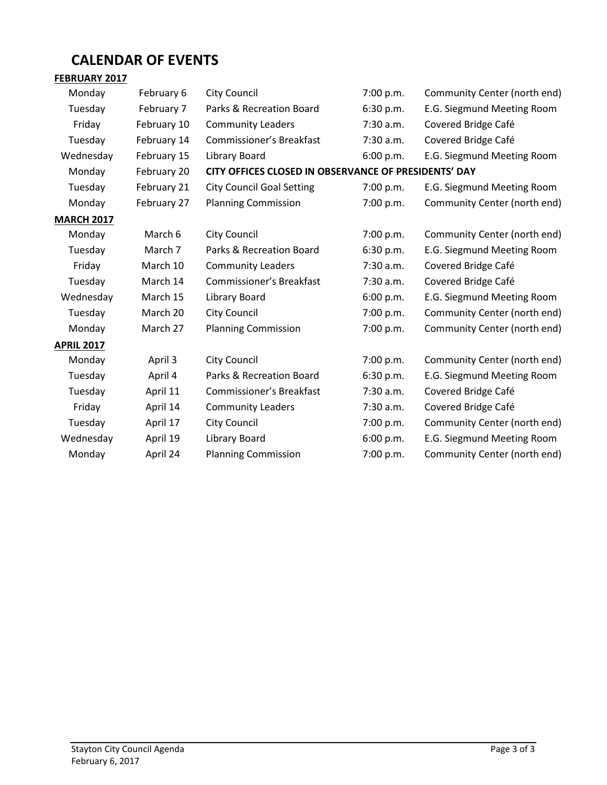# **CALENDAR OF EVENTS**

# **FEBRUARY 2017** Monday February 6 City Council 7:00 p.m. Community Center (north end) Tuesday February 7 Parks & Recreation Board 6:30 p.m. E.G. Siegmund Meeting Room Friday February 10 Community Leaders 7:30 a.m. Covered Bridge Café Tuesday February 14 Commissioner's Breakfast 7:30 a.m. Covered Bridge Café Wednesday February 15 Library Board 6:00 p.m. E.G. Siegmund Meeting Room Monday February 20 **CITY OFFICES CLOSED IN OBSERVANCE OF PRESIDENTS' DAY** Tuesday February 21 City Council Goal Setting 7:00 p.m. E.G. Siegmund Meeting Room Monday February 27 Planning Commission 7:00 p.m. Community Center (north end) **MARCH 2017** Monday March 6 City Council 17:00 p.m. Community Center (north end) Tuesday March 7 Parks & Recreation Board 6:30 p.m. E.G. Siegmund Meeting Room Friday March 10 Community Leaders 7:30 a.m. Covered Bridge Café Tuesday March 14 Commissioner's Breakfast 7:30 a.m. Covered Bridge Café Wednesday March 15 Library Board 6:00 p.m. E.G. Siegmund Meeting Room Tuesday March 20 City Council 7:00 p.m. Community Center (north end) Monday March 27 Planning Commission 7:00 p.m. Community Center (north end) **APRIL 2017** Monday April 3 City Council 7:00 p.m. Community Center (north end) Tuesday April 4 Parks & Recreation Board 6:30 p.m. E.G. Siegmund Meeting Room Tuesday April 11 Commissioner's Breakfast 7:30 a.m. Covered Bridge Café Friday April 14 Community Leaders 7:30 a.m. Covered Bridge Café Tuesday April 17 City Council 7:00 p.m. Community Center (north end) Wednesday April 19 Library Board 6:00 p.m. E.G. Siegmund Meeting Room

Monday April 24 Planning Commission 7:00 p.m. Community Center (north end)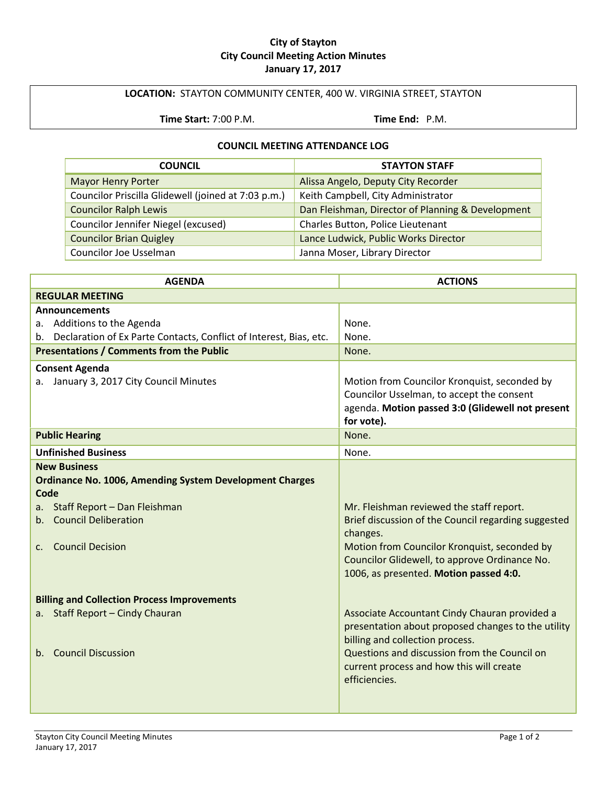#### **City of Stayton City Council Meeting Action Minutes January 17, 2017**

# **LOCATION:** STAYTON COMMUNITY CENTER, 400 W. VIRGINIA STREET, STAYTON

**Time Start:** 7:00 P.M. **Time End:** P.M.

#### **COUNCIL MEETING ATTENDANCE LOG**

| <b>COUNCIL</b>                                      | <b>STAYTON STAFF</b>                              |
|-----------------------------------------------------|---------------------------------------------------|
| <b>Mayor Henry Porter</b>                           | Alissa Angelo, Deputy City Recorder               |
| Councilor Priscilla Glidewell (joined at 7:03 p.m.) | Keith Campbell, City Administrator                |
| <b>Councilor Ralph Lewis</b>                        | Dan Fleishman, Director of Planning & Development |
| Councilor Jennifer Niegel (excused)                 | Charles Button, Police Lieutenant                 |
| <b>Councilor Brian Quigley</b>                      | Lance Ludwick, Public Works Director              |
| Councilor Joe Usselman                              | Janna Moser, Library Director                     |

| <b>AGENDA</b>                                                                                                                                                                                               | <b>ACTIONS</b>                                                                                                                                                                                                                                         |
|-------------------------------------------------------------------------------------------------------------------------------------------------------------------------------------------------------------|--------------------------------------------------------------------------------------------------------------------------------------------------------------------------------------------------------------------------------------------------------|
| <b>REGULAR MEETING</b>                                                                                                                                                                                      |                                                                                                                                                                                                                                                        |
| <b>Announcements</b>                                                                                                                                                                                        |                                                                                                                                                                                                                                                        |
| a. Additions to the Agenda                                                                                                                                                                                  | None.                                                                                                                                                                                                                                                  |
| b. Declaration of Ex Parte Contacts, Conflict of Interest, Bias, etc.                                                                                                                                       | None.                                                                                                                                                                                                                                                  |
| <b>Presentations / Comments from the Public</b>                                                                                                                                                             | None.                                                                                                                                                                                                                                                  |
| <b>Consent Agenda</b><br>a. January 3, 2017 City Council Minutes                                                                                                                                            | Motion from Councilor Kronquist, seconded by<br>Councilor Usselman, to accept the consent<br>agenda. Motion passed 3:0 (Glidewell not present<br>for vote).                                                                                            |
| <b>Public Hearing</b>                                                                                                                                                                                       | None.                                                                                                                                                                                                                                                  |
| <b>Unfinished Business</b>                                                                                                                                                                                  | None.                                                                                                                                                                                                                                                  |
| <b>New Business</b><br><b>Ordinance No. 1006, Amending System Development Charges</b><br>Code<br>Staff Report - Dan Fleishman<br>a.<br>b. Council Deliberation<br><b>Council Decision</b><br>$\mathsf{C}$ . | Mr. Fleishman reviewed the staff report.<br>Brief discussion of the Council regarding suggested<br>changes.<br>Motion from Councilor Kronquist, seconded by<br>Councilor Glidewell, to approve Ordinance No.<br>1006, as presented. Motion passed 4:0. |
| <b>Billing and Collection Process Improvements</b><br>Staff Report - Cindy Chauran<br>a.<br>b. Council Discussion                                                                                           | Associate Accountant Cindy Chauran provided a<br>presentation about proposed changes to the utility<br>billing and collection process.<br>Questions and discussion from the Council on<br>current process and how this will create<br>efficiencies.    |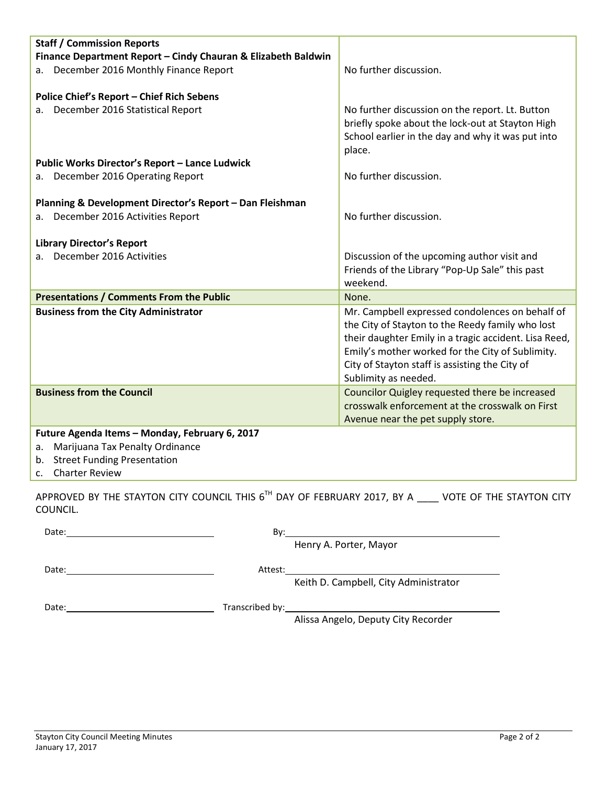| <b>Staff / Commission Reports</b>                             |                                                       |
|---------------------------------------------------------------|-------------------------------------------------------|
| Finance Department Report - Cindy Chauran & Elizabeth Baldwin |                                                       |
| December 2016 Monthly Finance Report<br>а.                    | No further discussion.                                |
|                                                               |                                                       |
| Police Chief's Report - Chief Rich Sebens                     |                                                       |
| a. December 2016 Statistical Report                           | No further discussion on the report. Lt. Button       |
|                                                               | briefly spoke about the lock-out at Stayton High      |
|                                                               | School earlier in the day and why it was put into     |
|                                                               | place.                                                |
| <b>Public Works Director's Report - Lance Ludwick</b>         |                                                       |
| a. December 2016 Operating Report                             | No further discussion.                                |
|                                                               |                                                       |
| Planning & Development Director's Report - Dan Fleishman      |                                                       |
| December 2016 Activities Report<br>а.                         | No further discussion.                                |
| <b>Library Director's Report</b>                              |                                                       |
| a. December 2016 Activities                                   | Discussion of the upcoming author visit and           |
|                                                               | Friends of the Library "Pop-Up Sale" this past        |
|                                                               | weekend.                                              |
| <b>Presentations / Comments From the Public</b>               | None.                                                 |
| <b>Business from the City Administrator</b>                   | Mr. Campbell expressed condolences on behalf of       |
|                                                               | the City of Stayton to the Reedy family who lost      |
|                                                               | their daughter Emily in a tragic accident. Lisa Reed, |
|                                                               | Emily's mother worked for the City of Sublimity.      |
|                                                               | City of Stayton staff is assisting the City of        |
|                                                               | Sublimity as needed.                                  |
| <b>Business from the Council</b>                              | Councilor Quigley requested there be increased        |
|                                                               | crosswalk enforcement at the crosswalk on First       |
|                                                               | Avenue near the pet supply store.                     |
| Future Agenda Items - Monday, February 6, 2017                |                                                       |
| a. Marijuana Tax Penalty Ordinance                            |                                                       |

- b. Street Funding Presentation
- c. Charter Review

APPROVED BY THE STAYTON CITY COUNCIL THIS  $6^{Th}$  DAY OF FEBRUARY 2017, BY A  $\_\_\_\_\$  VOTE OF THE STAYTON CITY COUNCIL.

| Date: | Bv:                                              |  |
|-------|--------------------------------------------------|--|
|       | Henry A. Porter, Mayor                           |  |
| Date: | Attest:<br>Keith D. Campbell, City Administrator |  |
| Date: | Alissa Angelo, Deputy City Recorder              |  |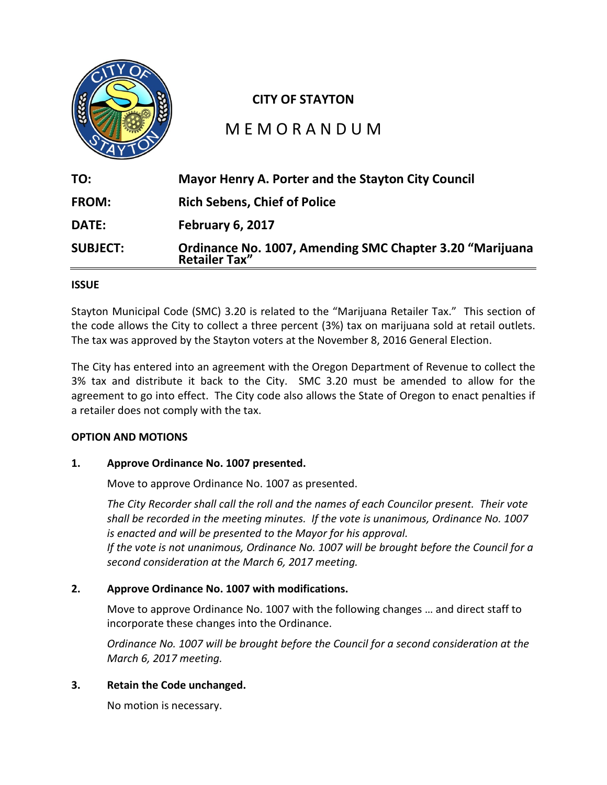

### **ISSUE**

Stayton Municipal Code (SMC) 3.20 is related to the "Marijuana Retailer Tax." This section of the code allows the City to collect a three percent (3%) tax on marijuana sold at retail outlets. The tax was approved by the Stayton voters at the November 8, 2016 General Election.

The City has entered into an agreement with the Oregon Department of Revenue to collect the 3% tax and distribute it back to the City. SMC 3.20 must be amended to allow for the agreement to go into effect. The City code also allows the State of Oregon to enact penalties if a retailer does not comply with the tax.

### **OPTION AND MOTIONS**

### **1. Approve Ordinance No. 1007 presented.**

Move to approve Ordinance No. 1007 as presented.

*The City Recorder shall call the roll and the names of each Councilor present. Their vote shall be recorded in the meeting minutes. If the vote is unanimous, Ordinance No. 1007 is enacted and will be presented to the Mayor for his approval.*

*If the vote is not unanimous, Ordinance No. 1007 will be brought before the Council for a second consideration at the March 6, 2017 meeting.*

# **2. Approve Ordinance No. 1007 with modifications.**

Move to approve Ordinance No. 1007 with the following changes … and direct staff to incorporate these changes into the Ordinance.

*Ordinance No. 1007 will be brought before the Council for a second consideration at the March 6, 2017 meeting.*

# **3. Retain the Code unchanged.**

No motion is necessary.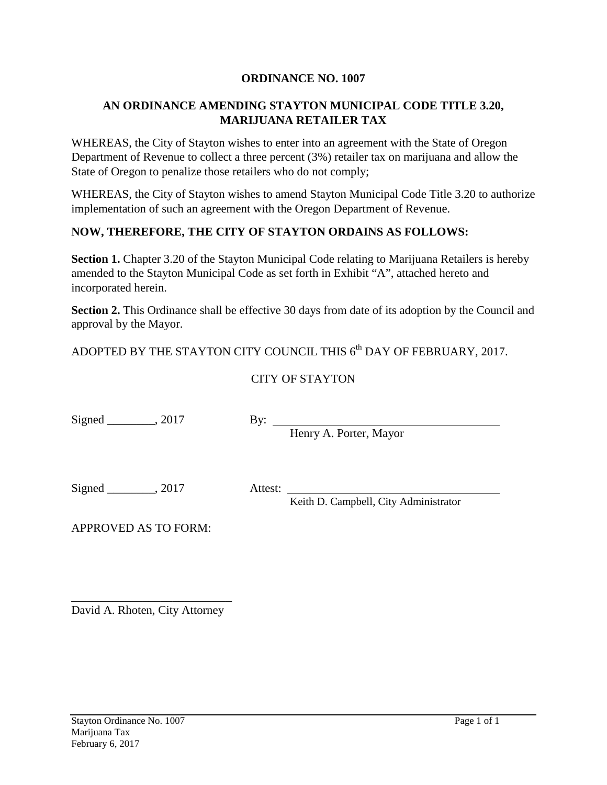# **ORDINANCE NO. 1007**

# **AN ORDINANCE AMENDING STAYTON MUNICIPAL CODE TITLE 3.20, MARIJUANA RETAILER TAX**

WHEREAS, the City of Stayton wishes to enter into an agreement with the State of Oregon Department of Revenue to collect a three percent (3%) retailer tax on marijuana and allow the State of Oregon to penalize those retailers who do not comply;

WHEREAS, the City of Stayton wishes to amend Stayton Municipal Code Title 3.20 to authorize implementation of such an agreement with the Oregon Department of Revenue.

# **NOW, THEREFORE, THE CITY OF STAYTON ORDAINS AS FOLLOWS:**

**Section 1.** Chapter 3.20 of the Stayton Municipal Code relating to Marijuana Retailers is hereby amended to the Stayton Municipal Code as set forth in Exhibit "A", attached hereto and incorporated herein.

**Section 2.** This Ordinance shall be effective 30 days from date of its adoption by the Council and approval by the Mayor.

ADOPTED BY THE STAYTON CITY COUNCIL THIS 6<sup>th</sup> DAY OF FEBRUARY, 2017.

# CITY OF STAYTON

Signed  $\_\_\_\_\_\$ , 2017

By: Henry A. Porter, Mayor

Signed \_\_\_\_\_\_\_, 2017 Attest:

Keith D. Campbell, City Administrator

APPROVED AS TO FORM:

\_\_\_\_\_\_\_\_\_\_\_\_\_\_\_\_\_\_\_\_\_\_\_\_\_\_\_ David A. Rhoten, City Attorney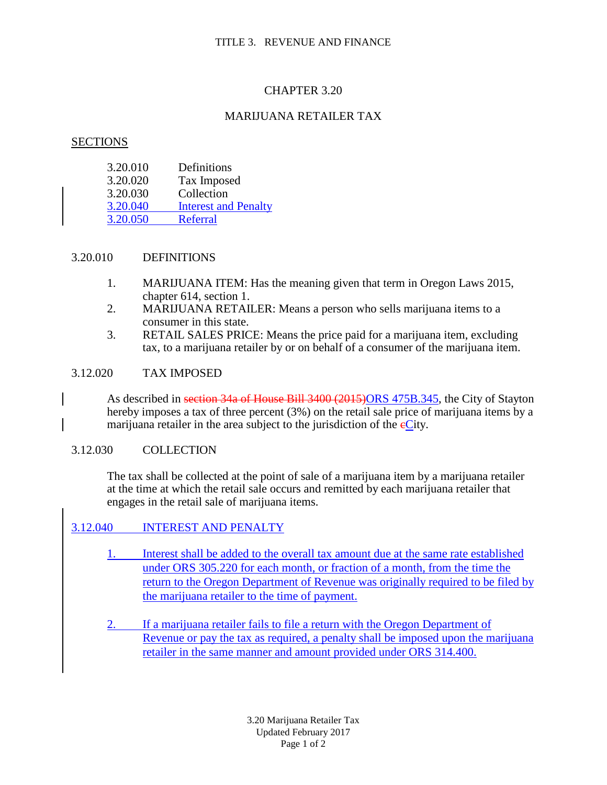# CHAPTER 3.20

# MARIJUANA RETAILER TAX

#### **SECTIONS**

| 3.20.010 | Definitions                 |
|----------|-----------------------------|
| 3.20.020 | Tax Imposed                 |
| 3.20.030 | Collection                  |
| 3.20.040 | <b>Interest and Penalty</b> |
| 3.20.050 | <b>Referral</b>             |

### 3.20.010 DEFINITIONS

- 1. MARIJUANA ITEM: Has the meaning given that term in Oregon Laws 2015, chapter 614, section 1.
- 2. MARIJUANA RETAILER: Means a person who sells marijuana items to a consumer in this state.
- 3. RETAIL SALES PRICE: Means the price paid for a marijuana item, excluding tax, to a marijuana retailer by or on behalf of a consumer of the marijuana item.

#### 3.12.020 TAX IMPOSED

As described in section 34a of House Bill 3400 (2015)ORS 475B.345, the City of Stayton hereby imposes a tax of three percent (3%) on the retail sale price of marijuana items by a marijuana retailer in the area subject to the jurisdiction of the  $eC$ ity.

### 3.12.030 COLLECTION

The tax shall be collected at the point of sale of a marijuana item by a marijuana retailer at the time at which the retail sale occurs and remitted by each marijuana retailer that engages in the retail sale of marijuana items.

### 3.12.040 INTEREST AND PENALTY

- 1. Interest shall be added to the overall tax amount due at the same rate established under ORS 305.220 for each month, or fraction of a month, from the time the return to the Oregon Department of Revenue was originally required to be filed by the marijuana retailer to the time of payment.
- 2. If a marijuana retailer fails to file a return with the Oregon Department of Revenue or pay the tax as required, a penalty shall be imposed upon the marijuana retailer in the same manner and amount provided under ORS 314.400.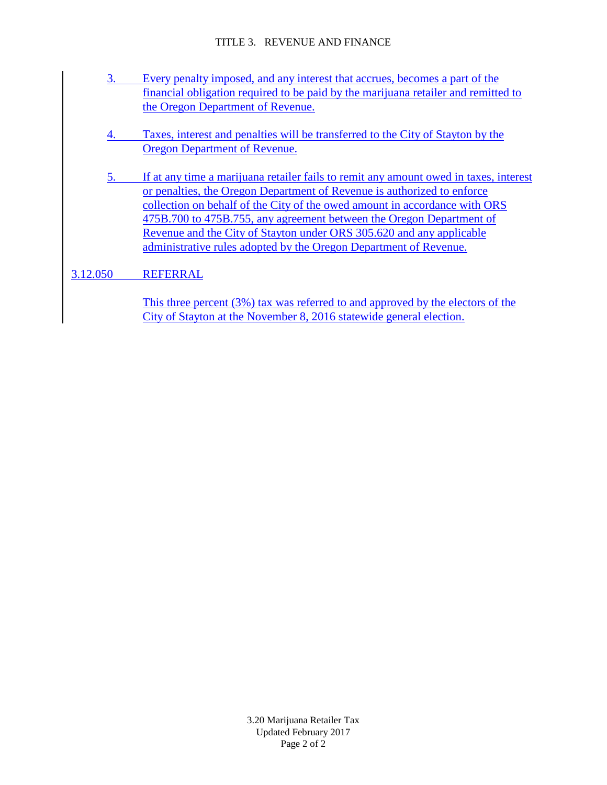#### TITLE 3. REVENUE AND FINANCE

- 3. Every penalty imposed, and any interest that accrues, becomes a part of the financial obligation required to be paid by the marijuana retailer and remitted to the Oregon Department of Revenue.
- 4. Taxes, interest and penalties will be transferred to the City of Stayton by the Oregon Department of Revenue.
- 5. If at any time a marijuana retailer fails to remit any amount owed in taxes, interest or penalties, the Oregon Department of Revenue is authorized to enforce collection on behalf of the City of the owed amount in accordance with ORS 475B.700 to 475B.755, any agreement between the Oregon Department of Revenue and the City of Stayton under ORS 305.620 and any applicable administrative rules adopted by the Oregon Department of Revenue.
- 3.12.050 REFERRAL

This three percent (3%) tax was referred to and approved by the electors of the City of Stayton at the November 8, 2016 statewide general election.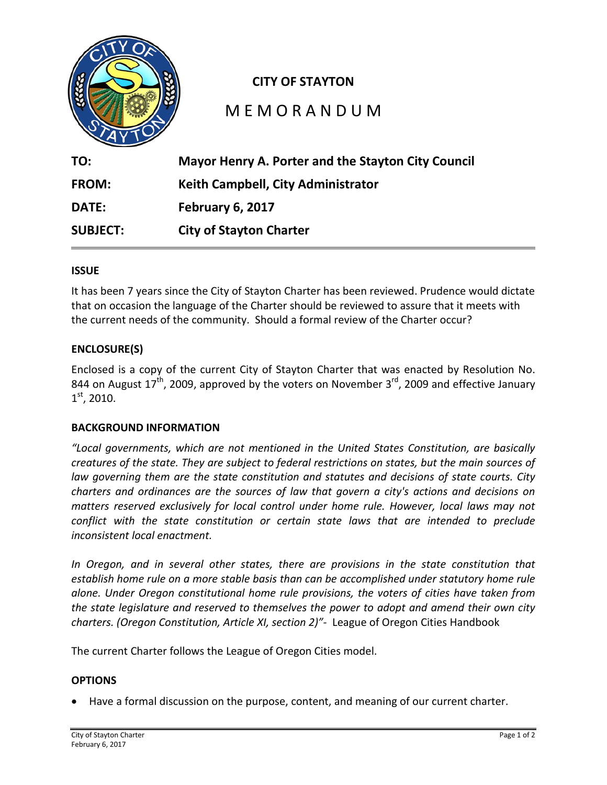

# **CITY OF STAYTON**

# M E M O R A N D U M

| TO:             | Mayor Henry A. Porter and the Stayton City Council |
|-----------------|----------------------------------------------------|
| FROM:           | Keith Campbell, City Administrator                 |
| <b>DATE:</b>    | February 6, 2017                                   |
| <b>SUBJECT:</b> | <b>City of Stayton Charter</b>                     |

### **ISSUE**

It has been 7 years since the City of Stayton Charter has been reviewed. Prudence would dictate that on occasion the language of the Charter should be reviewed to assure that it meets with the current needs of the community. Should a formal review of the Charter occur?

### **ENCLOSURE(S)**

Enclosed is a copy of the current City of Stayton Charter that was enacted by Resolution No. 844 on August  $17^{th}$ , 2009, approved by the voters on November 3<sup>rd</sup>, 2009 and effective January  $1<sup>st</sup>$ , 2010.

### **BACKGROUND INFORMATION**

*"Local governments, which are not mentioned in the United States Constitution, are basically creatures of the state. They are subject to federal restrictions on states, but the main sources of law governing them are the state constitution and statutes and decisions of state courts. City charters and ordinances are the sources of law that govern a city's actions and decisions on matters reserved exclusively for local control under home rule. However, local laws may not conflict with the state constitution or certain state laws that are intended to preclude inconsistent local enactment.*

*In Oregon, and in several other states, there are provisions in the state constitution that establish home rule on a more stable basis than can be accomplished under statutory home rule alone. Under Oregon constitutional home rule provisions, the voters of cities have taken from the state legislature and reserved to themselves the power to adopt and amend their own city charters. (Oregon Constitution, Article XI, section 2)"-* League of Oregon Cities Handbook

The current Charter follows the League of Oregon Cities model.

### **OPTIONS**

• Have a formal discussion on the purpose, content, and meaning of our current charter.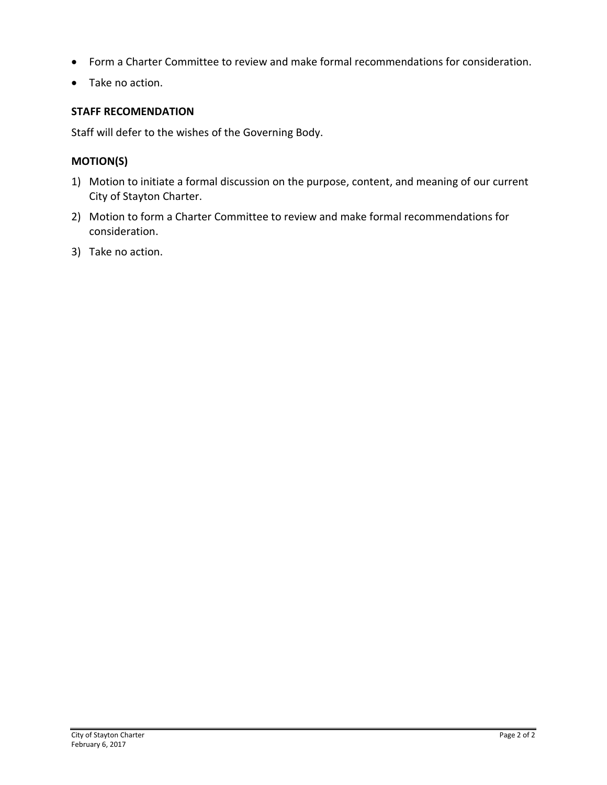- Form a Charter Committee to review and make formal recommendations for consideration.
- Take no action.

# **STAFF RECOMENDATION**

Staff will defer to the wishes of the Governing Body.

# **MOTION(S)**

- 1) Motion to initiate a formal discussion on the purpose, content, and meaning of our current City of Stayton Charter.
- 2) Motion to form a Charter Committee to review and make formal recommendations for consideration.
- 3) Take no action.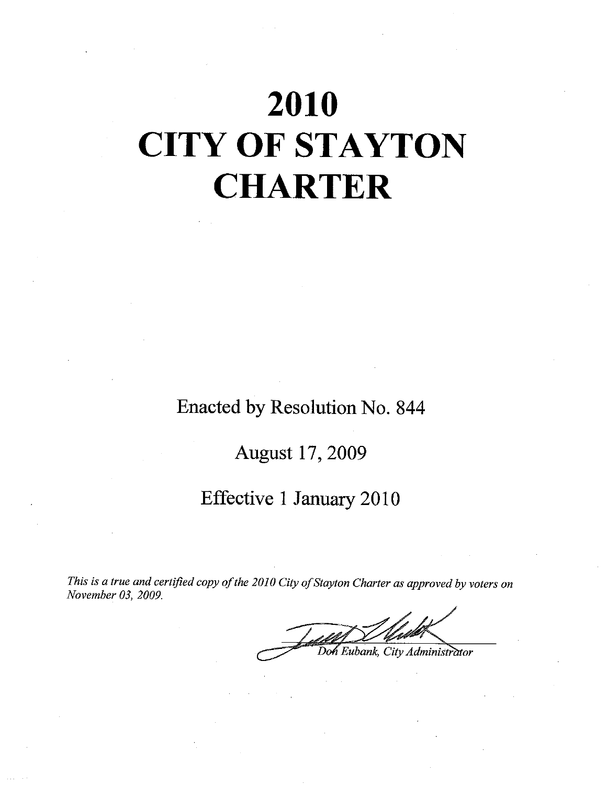# 2010 **CITY OF STAYTON CHARTER**

Enacted by Resolution No. 844

**August 17, 2009** 

# Effective 1 January 2010

This is a true and certified copy of the 2010 City of Stayton Charter as approved by voters on November 03, 2009.

Eubank, City Administrator Doh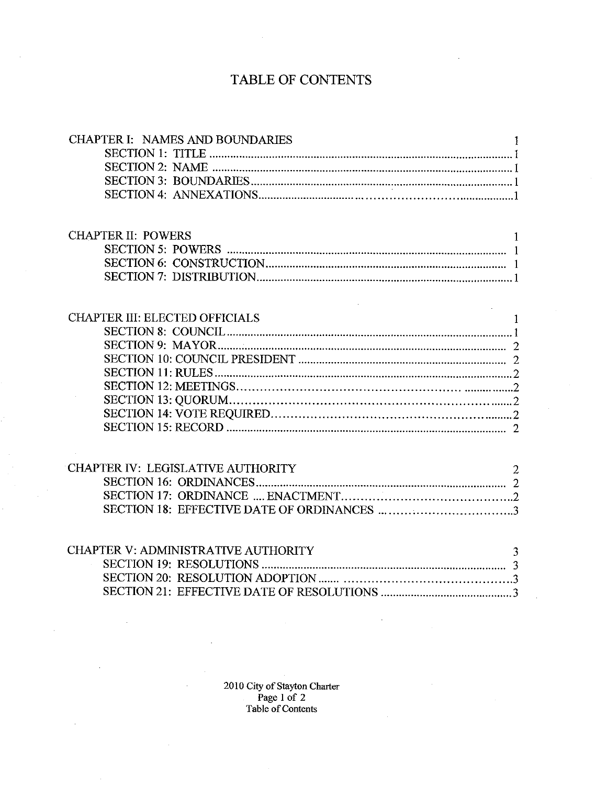# TABLE OF CONTENTS

| <b>CHAPTER I: NAMES AND BOUNDARIES</b> |                |
|----------------------------------------|----------------|
|                                        |                |
|                                        |                |
|                                        |                |
|                                        |                |
|                                        |                |
|                                        |                |
| <b>CHAPTER II: POWERS</b>              | 1              |
|                                        |                |
|                                        |                |
|                                        |                |
|                                        |                |
|                                        |                |
| <b>CHAPTER III: ELECTED OFFICIALS</b>  | <b>I</b>       |
|                                        |                |
|                                        |                |
|                                        |                |
|                                        |                |
|                                        |                |
|                                        |                |
|                                        |                |
|                                        |                |
|                                        |                |
|                                        |                |
| CHAPTER IV: LEGISLATIVE AUTHORITY      | $\overline{2}$ |
|                                        |                |
|                                        |                |
|                                        |                |
|                                        |                |
|                                        |                |
| CHAPTER V: ADMINISTRATIVE AUTHORITY    | 3              |
|                                        |                |
|                                        |                |
|                                        |                |
|                                        |                |

2010 City of Stayton Charter<br>Page 1 of 2<br>Table of Contents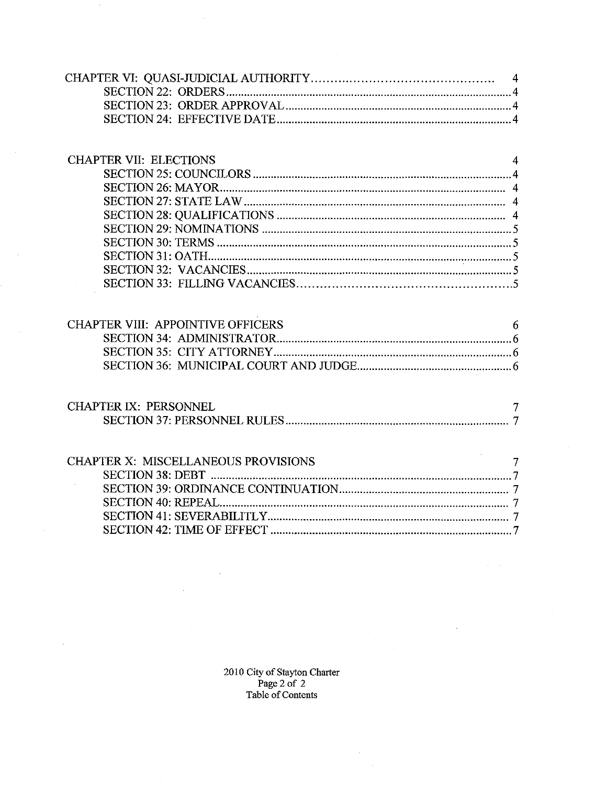| <b>CHAPTER VII: ELECTIONS</b>              | $\overline{4}$ |
|--------------------------------------------|----------------|
|                                            |                |
|                                            |                |
|                                            |                |
|                                            |                |
|                                            |                |
|                                            |                |
|                                            |                |
|                                            |                |
|                                            |                |
| <b>CHAPTER VIII: APPOINTIVE OFFICERS</b>   | 6              |
|                                            |                |
|                                            |                |
|                                            |                |
| <b>CHAPTER IX: PERSONNEL</b>               | $\overline{7}$ |
|                                            |                |
| <b>CHAPTER X: MISCELLANEOUS PROVISIONS</b> | $\overline{7}$ |
|                                            |                |
|                                            |                |
|                                            |                |
|                                            |                |
|                                            |                |
|                                            |                |
|                                            |                |
|                                            |                |

 $\sim$ 

2010 City of Stayton Charter<br>Page 2 of 2<br>Table of Contents

 $\ddot{\phantom{1}}$ 

 $\mathcal{L}$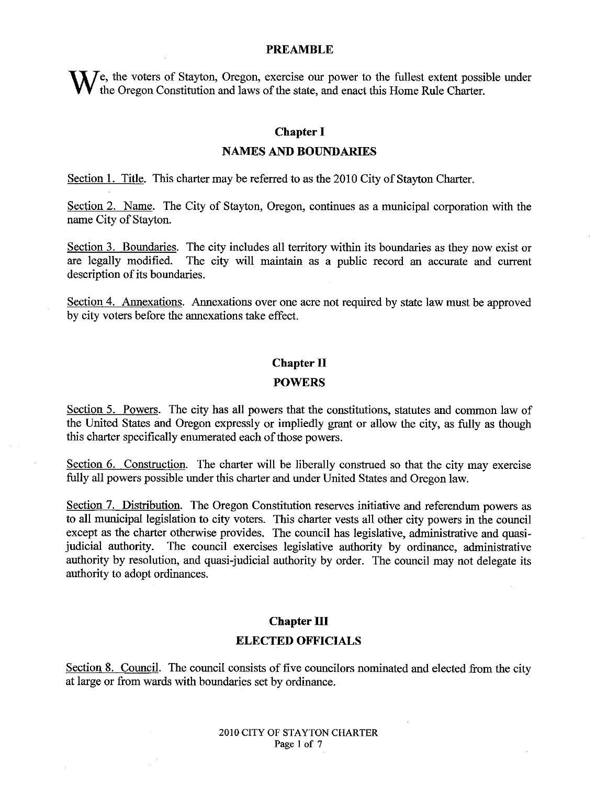#### **PREAMBLE**

We, the voters of Stayton, Oregon, exercise our power to the fullest extent possible under<br>We the Oregon Constitution and laws of the state, and enact this Home Rule Charter.

#### **Chapter I**

#### **NAMES AND BOUNDARIES**

Section 1. Title. This charter may be referred to as the 2010 City of Stayton Charter.

Section 2. Name. The City of Stayton, Oregon, continues as a municipal corporation with the name City of Stayton.

Section 3. Boundaries. The city includes all territory within its boundaries as they now exist or are legally modified. The city will maintain as a public record an accurate and current description of its boundaries.

Section 4. Annexations. Annexations over one acre not required by state law must be approved by city voters before the annexations take effect.

#### **Chapter II**

#### **POWERS**

Section 5. Powers. The city has all powers that the constitutions, statutes and common law of the United States and Oregon expressly or impliedly grant or allow the city, as fully as though this charter specifically enumerated each of those powers.

Section 6. Construction. The charter will be liberally construed so that the city may exercise fully all powers possible under this charter and under United States and Oregon law.

Section 7. Distribution. The Oregon Constitution reserves initiative and referendum powers as to all municipal legislation to city voters. This charter vests all other city powers in the council except as the charter otherwise provides. The council has legislative, administrative and quasijudicial authority. The council exercises legislative authority by ordinance, administrative authority by resolution, and quasi-judicial authority by order. The council may not delegate its authority to adopt ordinances.

#### **Chapter III**

#### **ELECTED OFFICIALS**

Section 8. Council. The council consists of five councilors nominated and elected from the city at large or from wards with boundaries set by ordinance.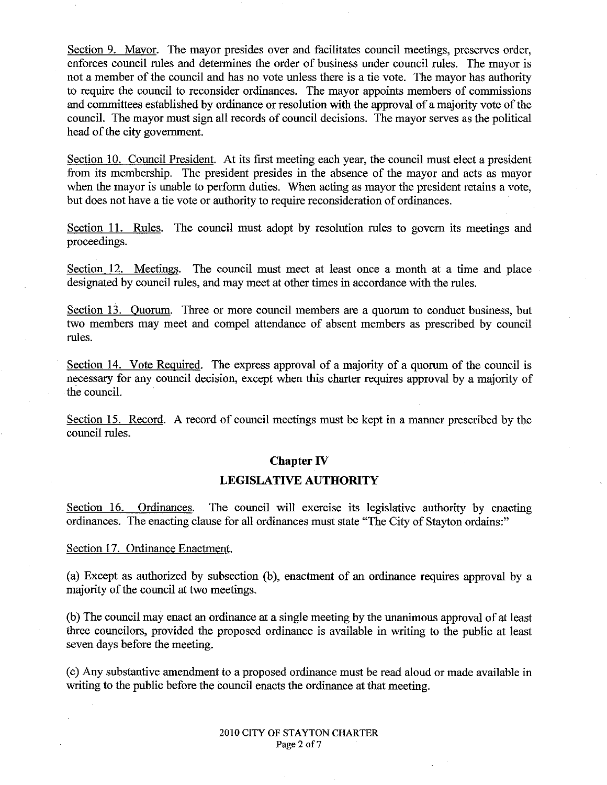Section 9. Mayor. The mayor presides over and facilitates council meetings, preserves order, enforces council rules and determines the order of business under council rules. The mayor is not a member of the council and has no vote unless there is a tie vote. The mayor has authority to require the council to reconsider ordinances. The mayor appoints members of commissions and committees established by ordinance or resolution with the approval of a majority vote of the council. The mayor must sign all records of council decisions. The mayor serves as the political head of the city government.

Section 10. Council President. At its first meeting each year, the council must elect a president from its membership. The president presides in the absence of the mayor and acts as mayor when the mayor is unable to perform duties. When acting as mayor the president retains a vote, but does not have a tie vote or authority to require reconsideration of ordinances.

Section 11. Rules. The council must adopt by resolution rules to govern its meetings and proceedings.

Section 12. Meetings. The council must meet at least once a month at a time and place designated by council rules, and may meet at other times in accordance with the rules.

Section 13. Ouorum. Three or more council members are a quorum to conduct business, but two members may meet and compel attendance of absent members as prescribed by council rules.

Section 14. Vote Required. The express approval of a majority of a quorum of the council is necessary for any council decision, except when this charter requires approval by a majority of the council.

Section 15. Record. A record of council meetings must be kept in a manner prescribed by the council rules.

#### **Chapter IV**

#### **LEGISLATIVE AUTHORITY**

Section 16. Ordinances. The council will exercise its legislative authority by enacting ordinances. The enacting clause for all ordinances must state "The City of Stayton ordains:"

Section 17. Ordinance Enactment.

(a) Except as authorized by subsection (b), enactment of an ordinance requires approval by a majority of the council at two meetings.

(b) The council may enact an ordinance at a single meeting by the unanimous approval of at least three councilors, provided the proposed ordinance is available in writing to the public at least seven days before the meeting.

(c) Any substantive amendment to a proposed ordinance must be read aloud or made available in writing to the public before the council enacts the ordinance at that meeting.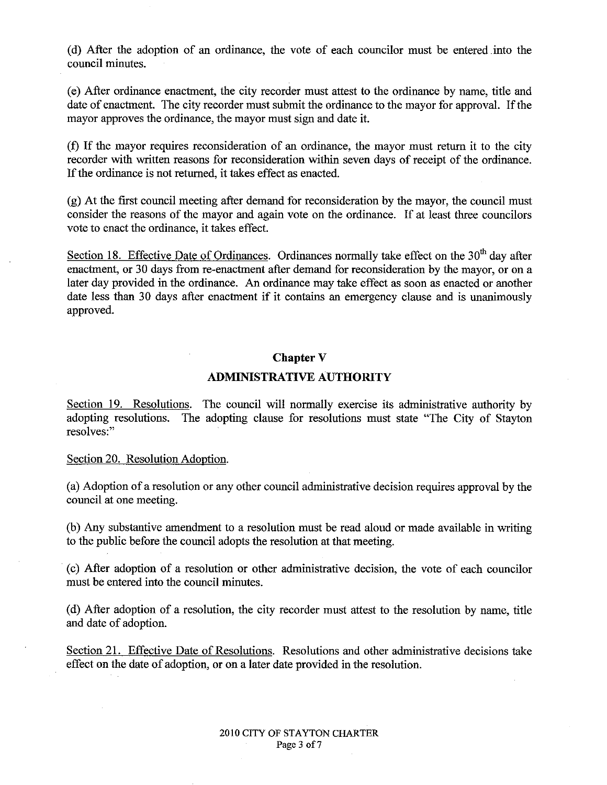(d) After the adoption of an ordinance, the vote of each councilor must be entered into the council minutes.

(e) After ordinance enactment, the city recorder must attest to the ordinance by name, title and date of enactment. The city recorder must submit the ordinance to the mayor for approval. If the mayor approves the ordinance, the mayor must sign and date it.

(f) If the mayor requires reconsideration of an ordinance, the mayor must return it to the city recorder with written reasons for reconsideration within seven days of receipt of the ordinance. If the ordinance is not returned, it takes effect as enacted.

(g) At the first council meeting after demand for reconsideration by the mayor, the council must consider the reasons of the mayor and again vote on the ordinance. If at least three councilors vote to enact the ordinance, it takes effect.

Section 18. Effective Date of Ordinances. Ordinances normally take effect on the 30<sup>th</sup> day after enactment, or 30 days from re-enactment after demand for reconsideration by the mayor, or on a later day provided in the ordinance. An ordinance may take effect as soon as enacted or another date less than 30 days after enactment if it contains an emergency clause and is unanimously approved.

#### **Chapter V**

#### **ADMINISTRATIVE AUTHORITY**

Section 19. Resolutions. The council will normally exercise its administrative authority by adopting resolutions. The adopting clause for resolutions must state "The City of Stayton" resolves:"

Section 20. Resolution Adoption.

(a) Adoption of a resolution or any other council administrative decision requires approval by the council at one meeting.

(b) Any substantive amendment to a resolution must be read aloud or made available in writing to the public before the council adopts the resolution at that meeting.

(c) After adoption of a resolution or other administrative decision, the vote of each councilor must be entered into the council minutes.

(d) After adoption of a resolution, the city recorder must attest to the resolution by name, title and date of adoption.

Section 21. Effective Date of Resolutions. Resolutions and other administrative decisions take effect on the date of adoption, or on a later date provided in the resolution.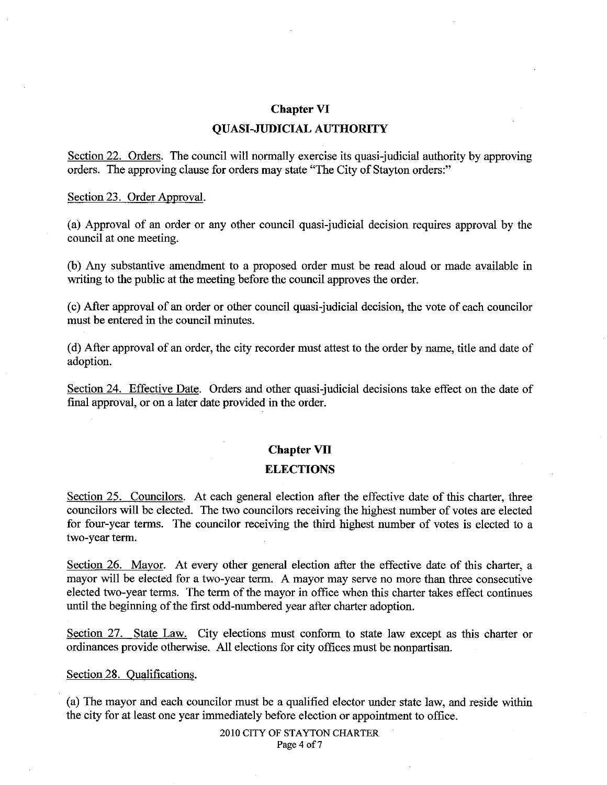#### **Chapter VI**

#### **OUASI-JUDICIAL AUTHORITY**

Section 22. Orders. The council will normally exercise its quasi-judicial authority by approving orders. The approving clause for orders may state "The City of Stayton orders:"

#### Section 23. Order Approval.

(a) Approval of an order or any other council quasi-judicial decision requires approval by the council at one meeting.

(b) Any substantive amendment to a proposed order must be read aloud or made available in writing to the public at the meeting before the council approves the order.

(c) After approval of an order or other council quasi-judicial decision, the vote of each councilor must be entered in the council minutes.

(d) After approval of an order, the city recorder must attest to the order by name, title and date of adoption.

Section 24. Effective Date. Orders and other quasi-judicial decisions take effect on the date of final approval, or on a later date provided in the order.

#### **Chapter VII**

#### **ELECTIONS**

Section 25. Councilors. At each general election after the effective date of this charter, three councilors will be elected. The two councilors receiving the highest number of votes are elected for four-year terms. The councilor receiving the third highest number of votes is elected to a two-year term.

Section 26. Mayor. At every other general election after the effective date of this charter, a mayor will be elected for a two-year term. A mayor may serve no more than three consecutive elected two-year terms. The term of the mayor in office when this charter takes effect continues until the beginning of the first odd-numbered year after charter adoption.

Section 27. State Law. City elections must conform to state law except as this charter or ordinances provide otherwise. All elections for city offices must be nonpartisan.

#### Section 28. Oualifications.

(a) The mayor and each councilor must be a qualified elector under state law, and reside within the city for at least one year immediately before election or appointment to office.

> 2010 CITY OF STAYTON CHARTER Page 4 of 7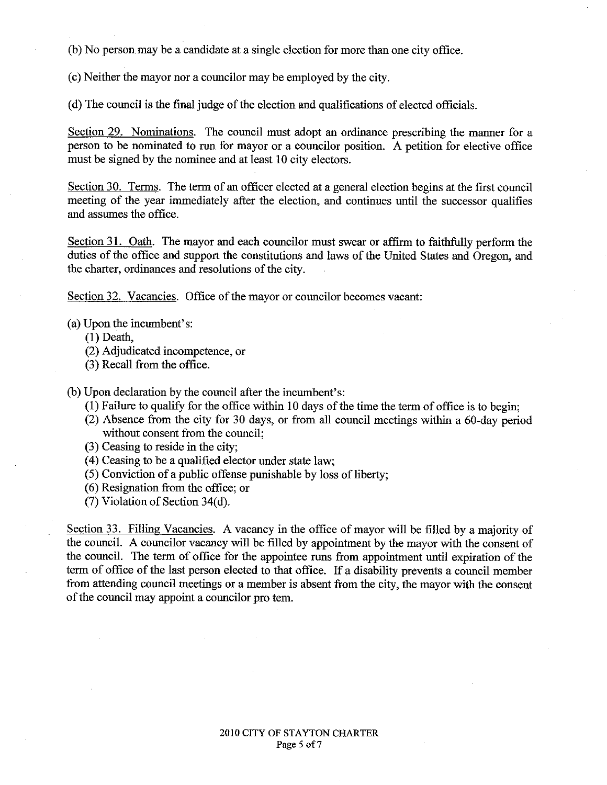(b) No person may be a candidate at a single election for more than one city office.

(c) Neither the mayor nor a councilor may be employed by the city.

(d) The council is the final judge of the election and qualifications of elected officials.

Section 29. Nominations. The council must adopt an ordinance prescribing the manner for a person to be nominated to run for mayor or a councilor position. A petition for elective office must be signed by the nominee and at least 10 city electors.

Section 30. Terms. The term of an officer elected at a general election begins at the first council meeting of the year immediately after the election, and continues until the successor qualifies and assumes the office.

Section 31. Oath. The mayor and each councilor must swear or affirm to faithfully perform the duties of the office and support the constitutions and laws of the United States and Oregon, and the charter, ordinances and resolutions of the city.

Section 32. Vacancies. Office of the mayor or councilor becomes vacant:

(a) Upon the incumbent's:

 $(1)$  Death.

- (2) Adjudicated incompetence, or
- (3) Recall from the office.

(b) Upon declaration by the council after the incumbent's:

- (1) Failure to qualify for the office within 10 days of the time the term of office is to begin;
- (2) Absence from the city for 30 days, or from all council meetings within a 60-day period without consent from the council;
- (3) Ceasing to reside in the city;
- (4) Ceasing to be a qualified elector under state law;
- (5) Conviction of a public offense punishable by loss of liberty;
- (6) Resignation from the office; or
- (7) Violation of Section 34(d).

Section 33. Filling Vacancies. A vacancy in the office of mayor will be filled by a majority of the council. A councilor vacancy will be filled by appointment by the mayor with the consent of the council. The term of office for the appointee runs from appointment until expiration of the term of office of the last person elected to that office. If a disability prevents a council member from attending council meetings or a member is absent from the city, the mayor with the consent of the council may appoint a councilor pro tem.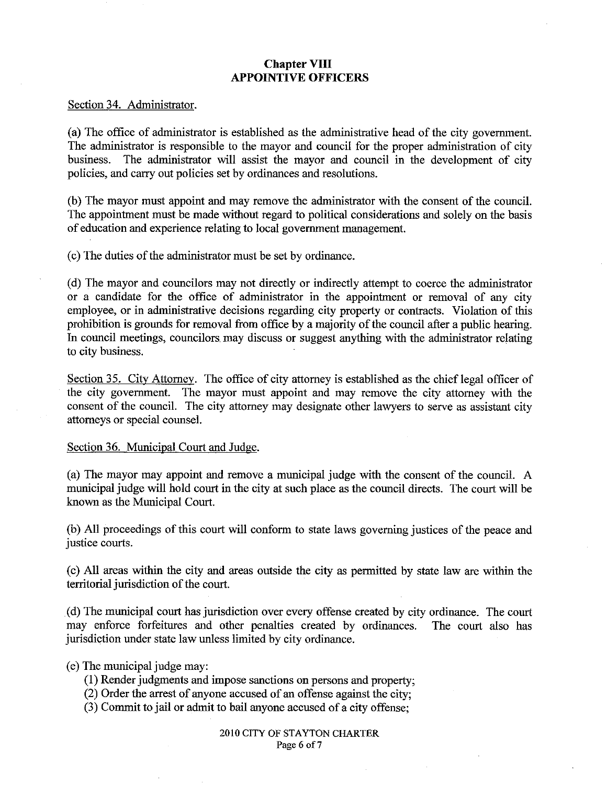# **Chapter VIII APPOINTIVE OFFICERS**

#### Section 34. Administrator.

(a) The office of administrator is established as the administrative head of the city government. The administrator is responsible to the mayor and council for the proper administration of city business. The administrator will assist the mayor and council in the development of city policies, and carry out policies set by ordinances and resolutions.

(b) The mayor must appoint and may remove the administrator with the consent of the council. The appointment must be made without regard to political considerations and solely on the basis of education and experience relating to local government management.

(c) The duties of the administrator must be set by ordinance.

(d) The mayor and councilors may not directly or indirectly attempt to coerce the administrator or a candidate for the office of administrator in the appointment or removal of any city employee, or in administrative decisions regarding city property or contracts. Violation of this prohibition is grounds for removal from office by a majority of the council after a public hearing. In council meetings, councilors may discuss or suggest anything with the administrator relating to city business.

Section 35. City Attorney. The office of city attorney is established as the chief legal officer of the city government. The mayor must appoint and may remove the city attorney with the consent of the council. The city attorney may designate other lawyers to serve as assistant city attorneys or special counsel.

#### Section 36. Municipal Court and Judge.

(a) The mayor may appoint and remove a municipal judge with the consent of the council. A municipal judge will hold court in the city at such place as the council directs. The court will be known as the Municipal Court.

(b) All proceedings of this court will conform to state laws governing justices of the peace and justice courts.

(c) All areas within the city and areas outside the city as permitted by state law are within the territorial jurisdiction of the court.

(d) The municipal court has jurisdiction over every offense created by city ordinance. The court may enforce forfeitures and other penalties created by ordinances. The court also has jurisdiction under state law unless limited by city ordinance.

- (e) The municipal judge may:
	- (1) Render judgments and impose sanctions on persons and property;
	- (2) Order the arrest of anyone accused of an offense against the city;
	- (3) Commit to jail or admit to bail anyone accused of a city offense: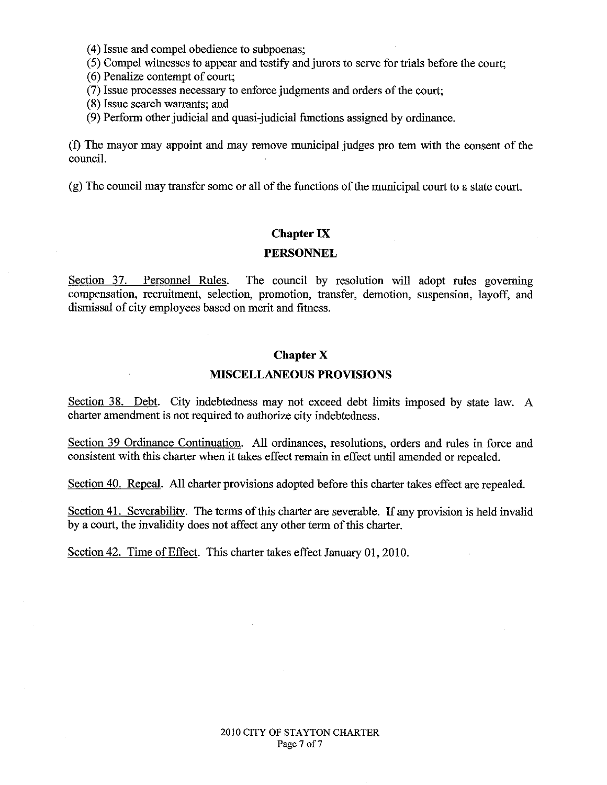- (4) Issue and compel obedience to subpoenas;
- (5) Compel witnesses to appear and testify and jurors to serve for trials before the court;
- (6) Penalize contempt of court;
- (7) Issue processes necessary to enforce judgments and orders of the court:
- (8) Issue search warrants; and
- (9) Perform other judicial and quasi-judicial functions assigned by ordinance.

(f) The mayor may appoint and may remove municipal judges pro tem with the consent of the council.

(g) The council may transfer some or all of the functions of the municipal court to a state court.

#### **Chapter IX**

#### **PERSONNEL**

Section 37. Personnel Rules. The council by resolution will adopt rules governing compensation, recruitment, selection, promotion, transfer, demotion, suspension, layoff, and dismissal of city employees based on merit and fitness.

#### **Chapter X**

#### **MISCELLANEOUS PROVISIONS**

Section 38. Debt. City indebtedness may not exceed debt limits imposed by state law. A charter amendment is not required to authorize city indebtedness.

Section 39 Ordinance Continuation. All ordinances, resolutions, orders and rules in force and consistent with this charter when it takes effect remain in effect until amended or repealed.

Section 40. Repeal. All charter provisions adopted before this charter takes effect are repealed.

Section 41. Severability. The terms of this charter are severable. If any provision is held invalid by a court, the invalidity does not affect any other term of this charter.

Section 42. Time of Effect. This charter takes effect January 01, 2010.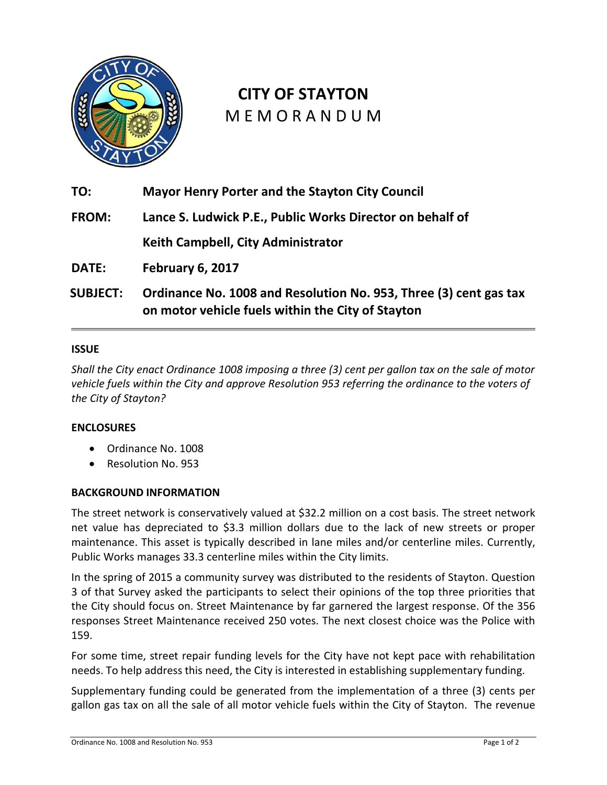

# **CITY OF STAYTON** M E M O R A N D U M

**TO: Mayor Henry Porter and the Stayton City Council FROM: Lance S. Ludwick P.E., Public Works Director on behalf of Keith Campbell, City Administrator DATE: February 6, 2017 SUBJECT: Ordinance No. 1008 and Resolution No. 953, Three (3) cent gas tax on motor vehicle fuels within the City of Stayton**

### **ISSUE**

*Shall the City enact Ordinance 1008 imposing a three (3) cent per gallon tax on the sale of motor vehicle fuels within the City and approve Resolution 953 referring the ordinance to the voters of the City of Stayton?* 

### **ENCLOSURES**

- Ordinance No. 1008
- Resolution No. 953

### **BACKGROUND INFORMATION**

The street network is conservatively valued at \$32.2 million on a cost basis. The street network net value has depreciated to \$3.3 million dollars due to the lack of new streets or proper maintenance. This asset is typically described in lane miles and/or centerline miles. Currently, Public Works manages 33.3 centerline miles within the City limits.

In the spring of 2015 a community survey was distributed to the residents of Stayton. Question 3 of that Survey asked the participants to select their opinions of the top three priorities that the City should focus on. Street Maintenance by far garnered the largest response. Of the 356 responses Street Maintenance received 250 votes. The next closest choice was the Police with 159.

For some time, street repair funding levels for the City have not kept pace with rehabilitation needs. To help address this need, the City is interested in establishing supplementary funding.

Supplementary funding could be generated from the implementation of a three (3) cents per gallon gas tax on all the sale of all motor vehicle fuels within the City of Stayton. The revenue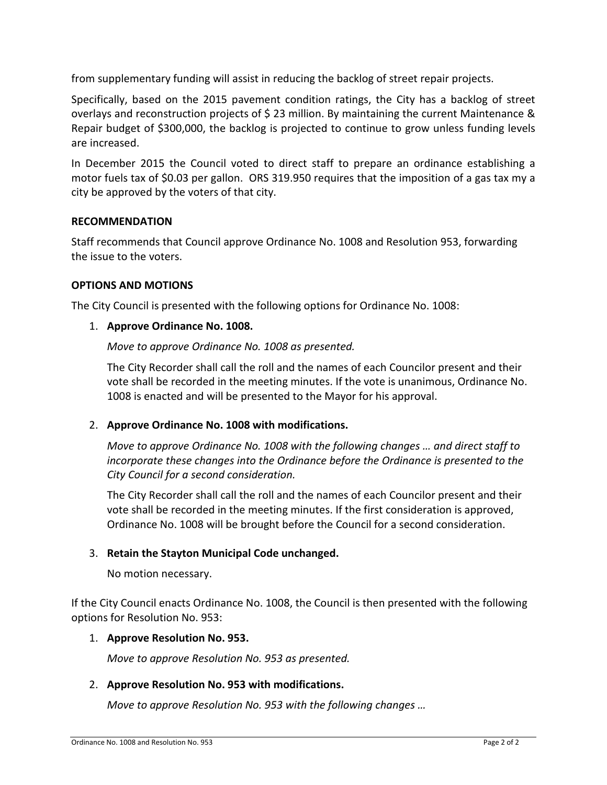from supplementary funding will assist in reducing the backlog of street repair projects.

Specifically, based on the 2015 pavement condition ratings, the City has a backlog of street overlays and reconstruction projects of \$ 23 million. By maintaining the current Maintenance & Repair budget of \$300,000, the backlog is projected to continue to grow unless funding levels are increased.

In December 2015 the Council voted to direct staff to prepare an ordinance establishing a motor fuels tax of \$0.03 per gallon. ORS 319.950 requires that the imposition of a gas tax my a city be approved by the voters of that city.

### **RECOMMENDATION**

Staff recommends that Council approve Ordinance No. 1008 and Resolution 953, forwarding the issue to the voters.

# **OPTIONS AND MOTIONS**

The City Council is presented with the following options for Ordinance No. 1008:

# 1. **Approve Ordinance No. 1008.**

# *Move to approve Ordinance No. 1008 as presented.*

The City Recorder shall call the roll and the names of each Councilor present and their vote shall be recorded in the meeting minutes. If the vote is unanimous, Ordinance No. 1008 is enacted and will be presented to the Mayor for his approval.

# 2. **Approve Ordinance No. 1008 with modifications.**

*Move to approve Ordinance No. 1008 with the following changes … and direct staff to incorporate these changes into the Ordinance before the Ordinance is presented to the City Council for a second consideration.* 

The City Recorder shall call the roll and the names of each Councilor present and their vote shall be recorded in the meeting minutes. If the first consideration is approved, Ordinance No. 1008 will be brought before the Council for a second consideration.

# 3. **Retain the Stayton Municipal Code unchanged.**

No motion necessary.

If the City Council enacts Ordinance No. 1008, the Council is then presented with the following options for Resolution No. 953:

### 1. **Approve Resolution No. 953.**

*Move to approve Resolution No. 953 as presented.* 

# 2. **Approve Resolution No. 953 with modifications.**

*Move to approve Resolution No. 953 with the following changes …*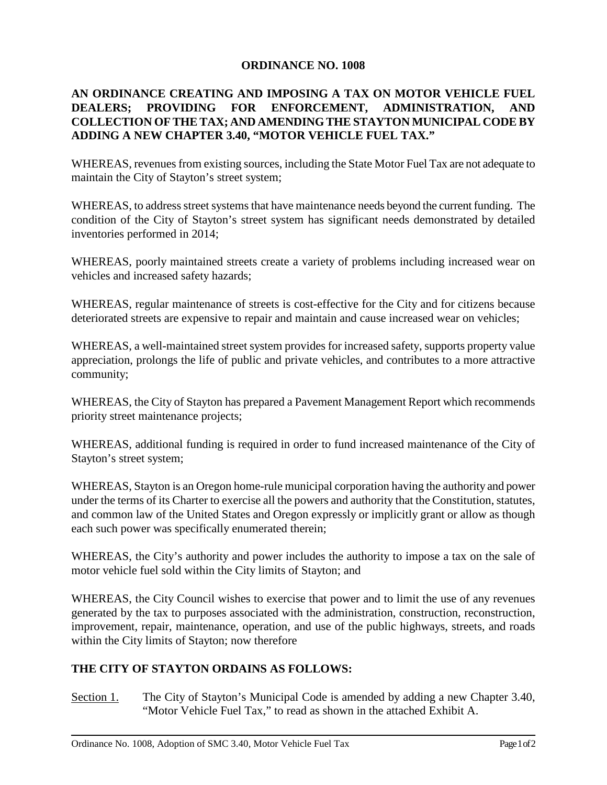# **ORDINANCE NO. 1008**

# **AN ORDINANCE CREATING AND IMPOSING A TAX ON MOTOR VEHICLE FUEL DEALERS; PROVIDING FOR ENFORCEMENT, ADMINISTRATION, AND COLLECTION OF THE TAX; AND AMENDING THE STAYTON MUNICIPAL CODE BY ADDING A NEW CHAPTER 3.40, "MOTOR VEHICLE FUEL TAX."**

WHEREAS, revenues from existing sources, including the State Motor Fuel Tax are not adequate to maintain the City of Stayton's street system;

WHEREAS, to address street systems that have maintenance needs beyond the current funding. The condition of the City of Stayton's street system has significant needs demonstrated by detailed inventories performed in 2014;

WHEREAS, poorly maintained streets create a variety of problems including increased wear on vehicles and increased safety hazards;

WHEREAS, regular maintenance of streets is cost-effective for the City and for citizens because deteriorated streets are expensive to repair and maintain and cause increased wear on vehicles;

WHEREAS, a well-maintained street system provides for increased safety, supports property value appreciation, prolongs the life of public and private vehicles, and contributes to a more attractive community;

WHEREAS, the City of Stayton has prepared a Pavement Management Report which recommends priority street maintenance projects;

WHEREAS, additional funding is required in order to fund increased maintenance of the City of Stayton's street system;

WHEREAS, Stayton is an Oregon home-rule municipal corporation having the authority and power under the terms of its Charter to exercise all the powers and authority that the Constitution, statutes, and common law of the United States and Oregon expressly or implicitly grant or allow as though each such power was specifically enumerated therein;

WHEREAS, the City's authority and power includes the authority to impose a tax on the sale of motor vehicle fuel sold within the City limits of Stayton; and

WHEREAS, the City Council wishes to exercise that power and to limit the use of any revenues generated by the tax to purposes associated with the administration, construction, reconstruction, improvement, repair, maintenance, operation, and use of the public highways, streets, and roads within the City limits of Stayton; now therefore

# **THE CITY OF STAYTON ORDAINS AS FOLLOWS:**

Section 1. The City of Stayton's Municipal Code is amended by adding a new Chapter 3.40, "Motor Vehicle Fuel Tax," to read as shown in the attached Exhibit A.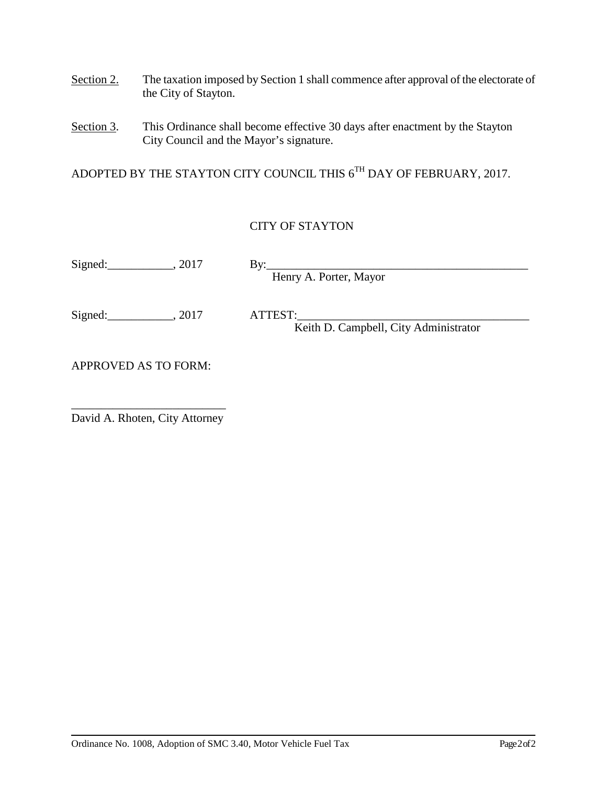- Section 2. The taxation imposed by Section 1 shall commence after approval of the electorate of the City of Stayton.
- Section 3. This Ordinance shall become effective 30 days after enactment by the Stayton City Council and the Mayor's signature.

ADOPTED BY THE STAYTON CITY COUNCIL THIS  $6^\mathrm{TH}$  DAY OF FEBRUARY, 2017.

# CITY OF STAYTON

| $\sim$<br>Signed | - |
|------------------|---|
|                  |   |

Henry A. Porter, Mayor

Signed: \_\_\_\_\_\_\_\_\_\_\_\_\_, 2017 ATTEST:

Keith D. Campbell, City Administrator

APPROVED AS TO FORM:

\_\_\_\_\_\_\_\_\_\_\_\_\_\_\_\_\_\_\_\_\_\_\_\_\_\_ David A. Rhoten, City Attorney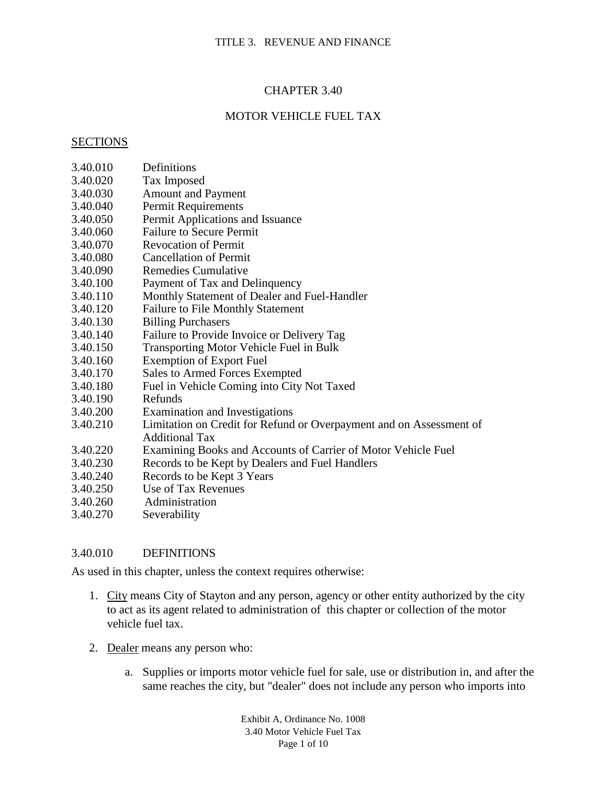# CHAPTER 3.40

# MOTOR VEHICLE FUEL TAX

#### **SECTIONS**

- 3.40.010 Definitions
- 3.40.020 Tax Imposed
- 3.40.030 Amount and Payment
- 3.40.040 Permit Requirements
- 3.40.050 Permit Applications and Issuance
- 3.40.060 Failure to Secure Permit<br>3.40.070 Revocation of Permit
- 3.40.070 Revocation of Permit
- 3.40.080 Cancellation of Permit
- 3.40.090 Remedies Cumulative
- 3.40.100 Payment of Tax and Delinquency
- 3.40.110 Monthly Statement of Dealer and Fuel-Handler
- 3.40.120 Failure to File Monthly Statement
- 3.40.130 Billing Purchasers
- 3.40.140 Failure to Provide Invoice or Delivery Tag
- 3.40.150 Transporting Motor Vehicle Fuel in Bulk
- 3.40.160 Exemption of Export Fuel
- 3.40.170 Sales to Armed Forces Exempted
- 3.40.180 Fuel in Vehicle Coming into City Not Taxed
- 3.40.190 Refunds
- 3.40.200 Examination and Investigations
- 3.40.210 Limitation on Credit for Refund or Overpayment and on Assessment of Additional Tax
- 3.40.220 Examining Books and Accounts of Carrier of Motor Vehicle Fuel
- 3.40.230 Records to be Kept by Dealers and Fuel Handlers
- 3.40.240 Records to be Kept 3 Years
- 3.40.250 Use of Tax Revenues
- 3.40.260 Administration
- 3.40.270 Severability

### 3.40.010 DEFINITIONS

As used in this chapter, unless the context requires otherwise:

- 1. City means City of Stayton and any person, agency or other entity authorized by the city to act as its agent related to administration of this chapter or collection of the motor vehicle fuel tax.
- 2. Dealer means any person who:
	- a. Supplies or imports motor vehicle fuel for sale, use or distribution in, and after the same reaches the city, but "dealer" does not include any person who imports into

Exhibit A, Ordinance No. 1008 3.40 Motor Vehicle Fuel Tax Page 1 of 10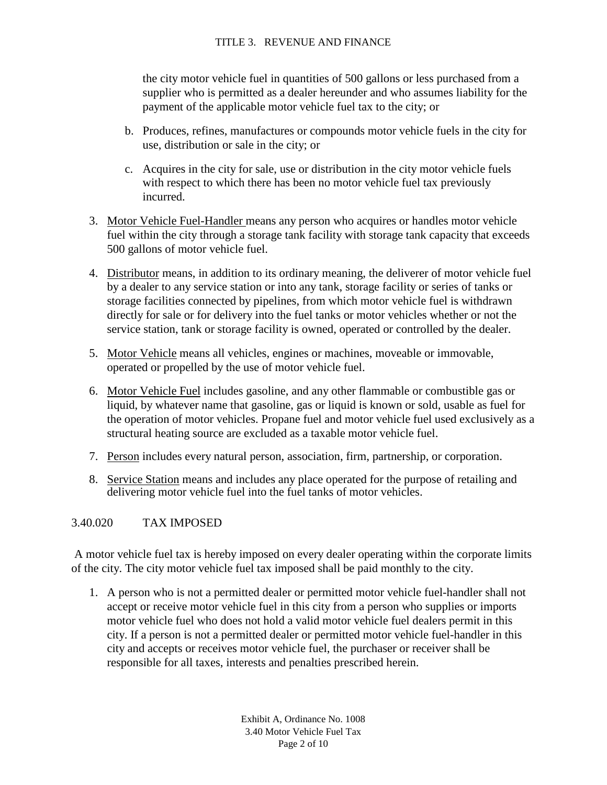the city motor vehicle fuel in quantities of 500 gallons or less purchased from a supplier who is permitted as a dealer hereunder and who assumes liability for the payment of the applicable motor vehicle fuel tax to the city; or

- b. Produces, refines, manufactures or compounds motor vehicle fuels in the city for use, distribution or sale in the city; or
- c. Acquires in the city for sale, use or distribution in the city motor vehicle fuels with respect to which there has been no motor vehicle fuel tax previously incurred.
- 3. Motor Vehicle Fuel-Handler means any person who acquires or handles motor vehicle fuel within the city through a storage tank facility with storage tank capacity that exceeds 500 gallons of motor vehicle fuel.
- 4. Distributor means, in addition to its ordinary meaning, the deliverer of motor vehicle fuel by a dealer to any service station or into any tank, storage facility or series of tanks or storage facilities connected by pipelines, from which motor vehicle fuel is withdrawn directly for sale or for delivery into the fuel tanks or motor vehicles whether or not the service station, tank or storage facility is owned, operated or controlled by the dealer.
- 5. Motor Vehicle means all vehicles, engines or machines, moveable or immovable, operated or propelled by the use of motor vehicle fuel.
- 6. Motor Vehicle Fuel includes gasoline, and any other flammable or combustible gas or liquid, by whatever name that gasoline, gas or liquid is known or sold, usable as fuel for the operation of motor vehicles. Propane fuel and motor vehicle fuel used exclusively as a structural heating source are excluded as a taxable motor vehicle fuel.
- 7. Person includes every natural person, association, firm, partnership, or corporation.
- 8. Service Station means and includes any place operated for the purpose of retailing and delivering motor vehicle fuel into the fuel tanks of motor vehicles.

# 3.40.020 TAX IMPOSED

A motor vehicle fuel tax is hereby imposed on every dealer operating within the corporate limits of the city. The city motor vehicle fuel tax imposed shall be paid monthly to the city.

1. A person who is not a permitted dealer or permitted motor vehicle fuel-handler shall not accept or receive motor vehicle fuel in this city from a person who supplies or imports motor vehicle fuel who does not hold a valid motor vehicle fuel dealers permit in this city. If a person is not a permitted dealer or permitted motor vehicle fuel-handler in this city and accepts or receives motor vehicle fuel, the purchaser or receiver shall be responsible for all taxes, interests and penalties prescribed herein.

> Exhibit A, Ordinance No. 1008 3.40 Motor Vehicle Fuel Tax Page 2 of 10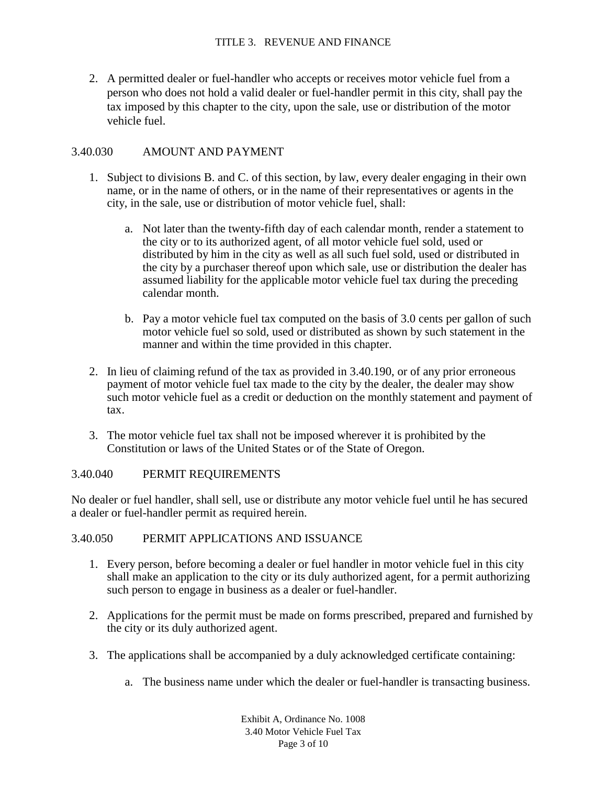2. A permitted dealer or fuel-handler who accepts or receives motor vehicle fuel from a person who does not hold a valid dealer or fuel-handler permit in this city, shall pay the tax imposed by this chapter to the city, upon the sale, use or distribution of the motor vehicle fuel.

#### 3.40.030 AMOUNT AND PAYMENT

- 1. Subject to divisions B. and C. of this section, by law, every dealer engaging in their own name, or in the name of others, or in the name of their representatives or agents in the city, in the sale, use or distribution of motor vehicle fuel, shall:
	- a. Not later than the twenty-fifth day of each calendar month, render a statement to the city or to its authorized agent, of all motor vehicle fuel sold, used or distributed by him in the city as well as all such fuel sold, used or distributed in the city by a purchaser thereof upon which sale, use or distribution the dealer has assumed liability for the applicable motor vehicle fuel tax during the preceding calendar month.
	- b. Pay a motor vehicle fuel tax computed on the basis of 3.0 cents per gallon of such motor vehicle fuel so sold, used or distributed as shown by such statement in the manner and within the time provided in this chapter.
- 2. In lieu of claiming refund of the tax as provided in 3.40.190, or of any prior erroneous payment of motor vehicle fuel tax made to the city by the dealer, the dealer may show such motor vehicle fuel as a credit or deduction on the monthly statement and payment of tax.
- 3. The motor vehicle fuel tax shall not be imposed wherever it is prohibited by the Constitution or laws of the United States or of the State of Oregon.

#### 3.40.040 PERMIT REQUIREMENTS

No dealer or fuel handler, shall sell, use or distribute any motor vehicle fuel until he has secured a dealer or fuel-handler permit as required herein.

#### 3.40.050 PERMIT APPLICATIONS AND ISSUANCE

- 1. Every person, before becoming a dealer or fuel handler in motor vehicle fuel in this city shall make an application to the city or its duly authorized agent, for a permit authorizing such person to engage in business as a dealer or fuel-handler.
- 2. Applications for the permit must be made on forms prescribed, prepared and furnished by the city or its duly authorized agent.
- 3. The applications shall be accompanied by a duly acknowledged certificate containing:
	- a. The business name under which the dealer or fuel-handler is transacting business.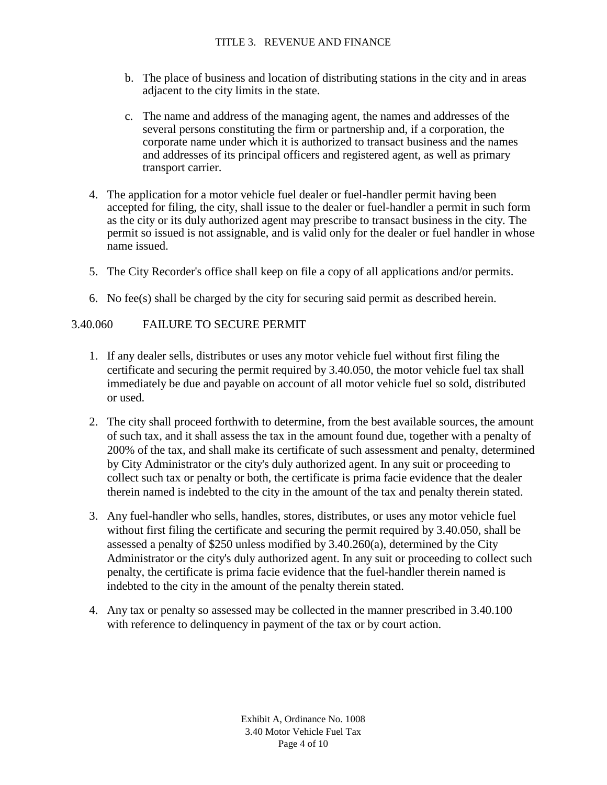- b. The place of business and location of distributing stations in the city and in areas adjacent to the city limits in the state.
- c. The name and address of the managing agent, the names and addresses of the several persons constituting the firm or partnership and, if a corporation, the corporate name under which it is authorized to transact business and the names and addresses of its principal officers and registered agent, as well as primary transport carrier.
- 4. The application for a motor vehicle fuel dealer or fuel-handler permit having been accepted for filing, the city, shall issue to the dealer or fuel-handler a permit in such form as the city or its duly authorized agent may prescribe to transact business in the city. The permit so issued is not assignable, and is valid only for the dealer or fuel handler in whose name issued.
- 5. The City Recorder's office shall keep on file a copy of all applications and/or permits.
- 6. No fee(s) shall be charged by the city for securing said permit as described herein.

# 3.40.060 FAILURE TO SECURE PERMIT

- 1. If any dealer sells, distributes or uses any motor vehicle fuel without first filing the certificate and securing the permit required by 3.40.050, the motor vehicle fuel tax shall immediately be due and payable on account of all motor vehicle fuel so sold, distributed or used.
- 2. The city shall proceed forthwith to determine, from the best available sources, the amount of such tax, and it shall assess the tax in the amount found due, together with a penalty of 200% of the tax, and shall make its certificate of such assessment and penalty, determined by City Administrator or the city's duly authorized agent. In any suit or proceeding to collect such tax or penalty or both, the certificate is prima facie evidence that the dealer therein named is indebted to the city in the amount of the tax and penalty therein stated.
- 3. Any fuel-handler who sells, handles, stores, distributes, or uses any motor vehicle fuel without first filing the certificate and securing the permit required by 3.40.050, shall be assessed a penalty of \$250 unless modified by 3.40.260(a), determined by the City Administrator or the city's duly authorized agent. In any suit or proceeding to collect such penalty, the certificate is prima facie evidence that the fuel-handler therein named is indebted to the city in the amount of the penalty therein stated.
- 4. Any tax or penalty so assessed may be collected in the manner prescribed in 3.40.100 with reference to delinquency in payment of the tax or by court action.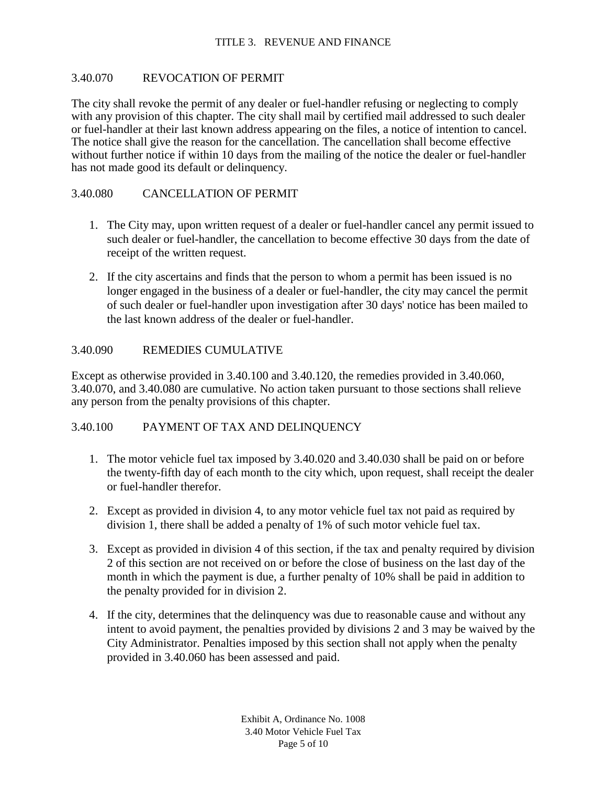#### 3.40.070 REVOCATION OF PERMIT

The city shall revoke the permit of any dealer or fuel-handler refusing or neglecting to comply with any provision of this chapter. The city shall mail by certified mail addressed to such dealer or fuel-handler at their last known address appearing on the files, a notice of intention to cancel. The notice shall give the reason for the cancellation. The cancellation shall become effective without further notice if within 10 days from the mailing of the notice the dealer or fuel-handler has not made good its default or delinquency.

## 3.40.080 CANCELLATION OF PERMIT

- 1. The City may, upon written request of a dealer or fuel-handler cancel any permit issued to such dealer or fuel-handler, the cancellation to become effective 30 days from the date of receipt of the written request.
- 2. If the city ascertains and finds that the person to whom a permit has been issued is no longer engaged in the business of a dealer or fuel-handler, the city may cancel the permit of such dealer or fuel-handler upon investigation after 30 days' notice has been mailed to the last known address of the dealer or fuel-handler.

#### 3.40.090 REMEDIES CUMULATIVE

Except as otherwise provided in 3.40.100 and 3.40.120, the remedies provided in 3.40.060, 3.40.070, and 3.40.080 are cumulative. No action taken pursuant to those sections shall relieve any person from the penalty provisions of this chapter.

## 3.40.100 PAYMENT OF TAX AND DELINQUENCY

- 1. The motor vehicle fuel tax imposed by 3.40.020 and 3.40.030 shall be paid on or before the twenty-fifth day of each month to the city which, upon request, shall receipt the dealer or fuel-handler therefor.
- 2. Except as provided in division 4, to any motor vehicle fuel tax not paid as required by division 1, there shall be added a penalty of 1% of such motor vehicle fuel tax.
- 3. Except as provided in division 4 of this section, if the tax and penalty required by division 2 of this section are not received on or before the close of business on the last day of the month in which the payment is due, a further penalty of 10% shall be paid in addition to the penalty provided for in division 2.
- 4. If the city, determines that the delinquency was due to reasonable cause and without any intent to avoid payment, the penalties provided by divisions 2 and 3 may be waived by the City Administrator. Penalties imposed by this section shall not apply when the penalty provided in 3.40.060 has been assessed and paid.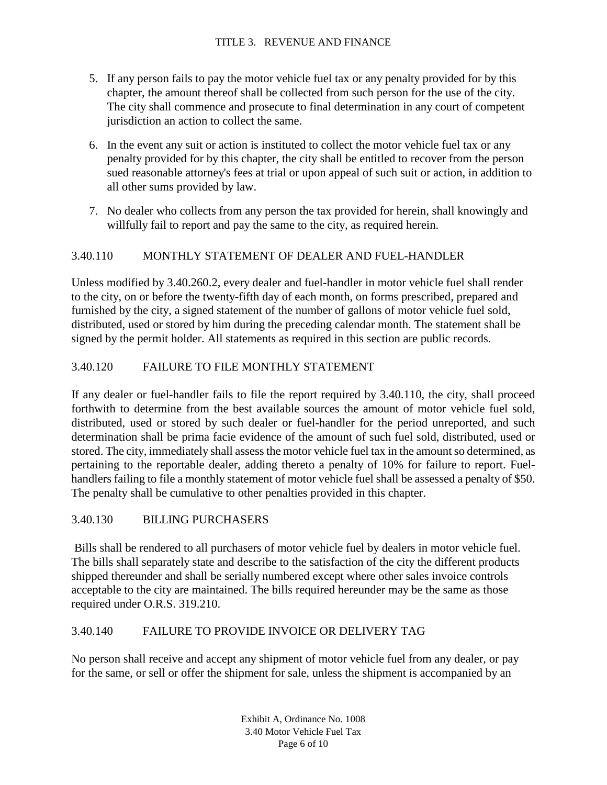- 5. If any person fails to pay the motor vehicle fuel tax or any penalty provided for by this chapter, the amount thereof shall be collected from such person for the use of the city. The city shall commence and prosecute to final determination in any court of competent jurisdiction an action to collect the same.
- 6. In the event any suit or action is instituted to collect the motor vehicle fuel tax or any penalty provided for by this chapter, the city shall be entitled to recover from the person sued reasonable attorney's fees at trial or upon appeal of such suit or action, in addition to all other sums provided by law.
- 7. No dealer who collects from any person the tax provided for herein, shall knowingly and willfully fail to report and pay the same to the city, as required herein.

# 3.40.110 MONTHLY STATEMENT OF DEALER AND FUEL-HANDLER

Unless modified by 3.40.260.2, every dealer and fuel-handler in motor vehicle fuel shall render to the city, on or before the twenty-fifth day of each month, on forms prescribed, prepared and furnished by the city, a signed statement of the number of gallons of motor vehicle fuel sold, distributed, used or stored by him during the preceding calendar month. The statement shall be signed by the permit holder. All statements as required in this section are public records.

# 3.40.120 FAILURE TO FILE MONTHLY STATEMENT

If any dealer or fuel-handler fails to file the report required by 3.40.110, the city, shall proceed forthwith to determine from the best available sources the amount of motor vehicle fuel sold, distributed, used or stored by such dealer or fuel-handler for the period unreported, and such determination shall be prima facie evidence of the amount of such fuel sold, distributed, used or stored. The city, immediately shall assess the motor vehicle fuel tax in the amount so determined, as pertaining to the reportable dealer, adding thereto a penalty of 10% for failure to report. Fuelhandlers failing to file a monthly statement of motor vehicle fuel shall be assessed a penalty of \$50. The penalty shall be cumulative to other penalties provided in this chapter.

# 3.40.130 BILLING PURCHASERS

Bills shall be rendered to all purchasers of motor vehicle fuel by dealers in motor vehicle fuel. The bills shall separately state and describe to the satisfaction of the city the different products shipped thereunder and shall be serially numbered except where other sales invoice controls acceptable to the city are maintained. The bills required hereunder may be the same as those required under O.R.S. 319.210.

# 3.40.140 FAILURE TO PROVIDE INVOICE OR DELIVERY TAG

No person shall receive and accept any shipment of motor vehicle fuel from any dealer, or pay for the same, or sell or offer the shipment for sale, unless the shipment is accompanied by an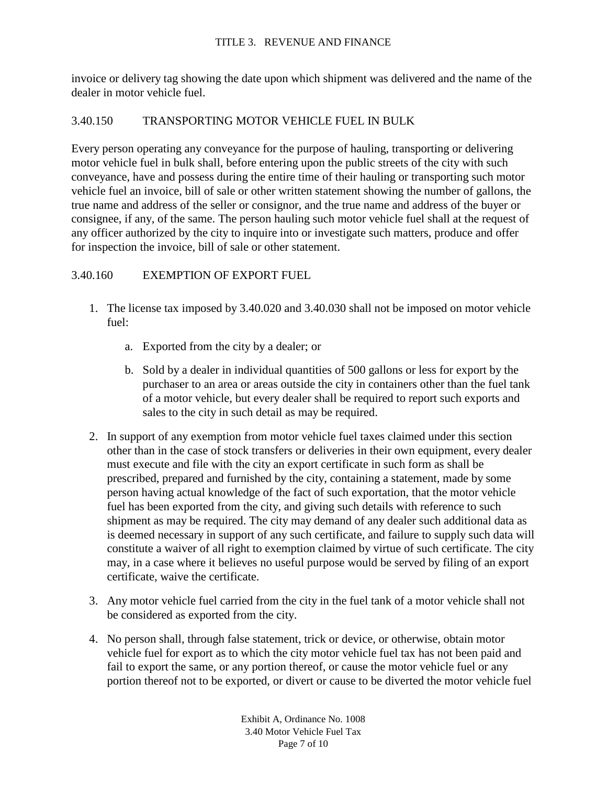invoice or delivery tag showing the date upon which shipment was delivered and the name of the dealer in motor vehicle fuel.

## 3.40.150 TRANSPORTING MOTOR VEHICLE FUEL IN BULK

Every person operating any conveyance for the purpose of hauling, transporting or delivering motor vehicle fuel in bulk shall, before entering upon the public streets of the city with such conveyance, have and possess during the entire time of their hauling or transporting such motor vehicle fuel an invoice, bill of sale or other written statement showing the number of gallons, the true name and address of the seller or consignor, and the true name and address of the buyer or consignee, if any, of the same. The person hauling such motor vehicle fuel shall at the request of any officer authorized by the city to inquire into or investigate such matters, produce and offer for inspection the invoice, bill of sale or other statement.

# 3.40.160 EXEMPTION OF EXPORT FUEL

- 1. The license tax imposed by 3.40.020 and 3.40.030 shall not be imposed on motor vehicle fuel:
	- a. Exported from the city by a dealer; or
	- b. Sold by a dealer in individual quantities of 500 gallons or less for export by the purchaser to an area or areas outside the city in containers other than the fuel tank of a motor vehicle, but every dealer shall be required to report such exports and sales to the city in such detail as may be required.
- 2. In support of any exemption from motor vehicle fuel taxes claimed under this section other than in the case of stock transfers or deliveries in their own equipment, every dealer must execute and file with the city an export certificate in such form as shall be prescribed, prepared and furnished by the city, containing a statement, made by some person having actual knowledge of the fact of such exportation, that the motor vehicle fuel has been exported from the city, and giving such details with reference to such shipment as may be required. The city may demand of any dealer such additional data as is deemed necessary in support of any such certificate, and failure to supply such data will constitute a waiver of all right to exemption claimed by virtue of such certificate. The city may, in a case where it believes no useful purpose would be served by filing of an export certificate, waive the certificate.
- 3. Any motor vehicle fuel carried from the city in the fuel tank of a motor vehicle shall not be considered as exported from the city.
- 4. No person shall, through false statement, trick or device, or otherwise, obtain motor vehicle fuel for export as to which the city motor vehicle fuel tax has not been paid and fail to export the same, or any portion thereof, or cause the motor vehicle fuel or any portion thereof not to be exported, or divert or cause to be diverted the motor vehicle fuel

Exhibit A, Ordinance No. 1008 3.40 Motor Vehicle Fuel Tax Page 7 of 10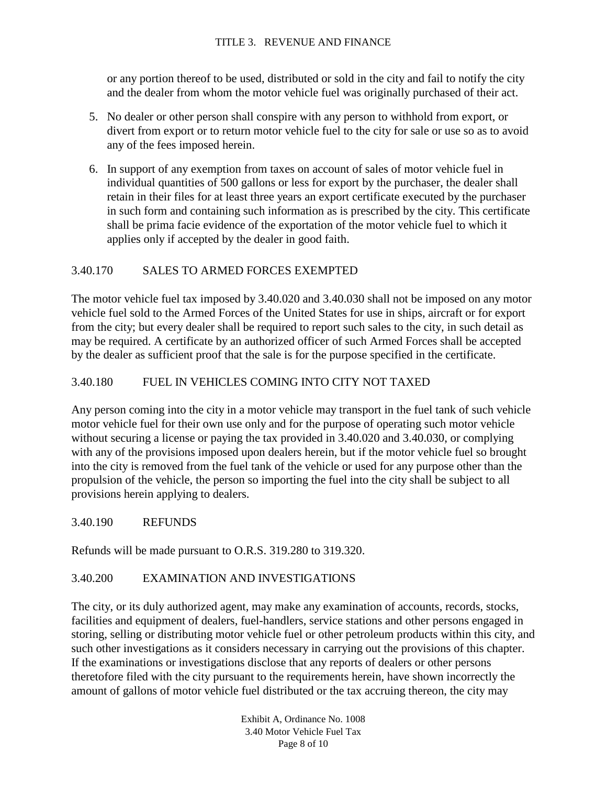or any portion thereof to be used, distributed or sold in the city and fail to notify the city and the dealer from whom the motor vehicle fuel was originally purchased of their act.

- 5. No dealer or other person shall conspire with any person to withhold from export, or divert from export or to return motor vehicle fuel to the city for sale or use so as to avoid any of the fees imposed herein.
- 6. In support of any exemption from taxes on account of sales of motor vehicle fuel in individual quantities of 500 gallons or less for export by the purchaser, the dealer shall retain in their files for at least three years an export certificate executed by the purchaser in such form and containing such information as is prescribed by the city. This certificate shall be prima facie evidence of the exportation of the motor vehicle fuel to which it applies only if accepted by the dealer in good faith.

# 3.40.170 SALES TO ARMED FORCES EXEMPTED

The motor vehicle fuel tax imposed by 3.40.020 and 3.40.030 shall not be imposed on any motor vehicle fuel sold to the Armed Forces of the United States for use in ships, aircraft or for export from the city; but every dealer shall be required to report such sales to the city, in such detail as may be required. A certificate by an authorized officer of such Armed Forces shall be accepted by the dealer as sufficient proof that the sale is for the purpose specified in the certificate.

# 3.40.180 FUEL IN VEHICLES COMING INTO CITY NOT TAXED

Any person coming into the city in a motor vehicle may transport in the fuel tank of such vehicle motor vehicle fuel for their own use only and for the purpose of operating such motor vehicle without securing a license or paying the tax provided in 3.40.020 and 3.40.030, or complying with any of the provisions imposed upon dealers herein, but if the motor vehicle fuel so brought into the city is removed from the fuel tank of the vehicle or used for any purpose other than the propulsion of the vehicle, the person so importing the fuel into the city shall be subject to all provisions herein applying to dealers.

# 3.40.190 REFUNDS

Refunds will be made pursuant to O.R.S. 319.280 to 319.320.

# 3.40.200 EXAMINATION AND INVESTIGATIONS

The city, or its duly authorized agent, may make any examination of accounts, records, stocks, facilities and equipment of dealers, fuel-handlers, service stations and other persons engaged in storing, selling or distributing motor vehicle fuel or other petroleum products within this city, and such other investigations as it considers necessary in carrying out the provisions of this chapter. If the examinations or investigations disclose that any reports of dealers or other persons theretofore filed with the city pursuant to the requirements herein, have shown incorrectly the amount of gallons of motor vehicle fuel distributed or the tax accruing thereon, the city may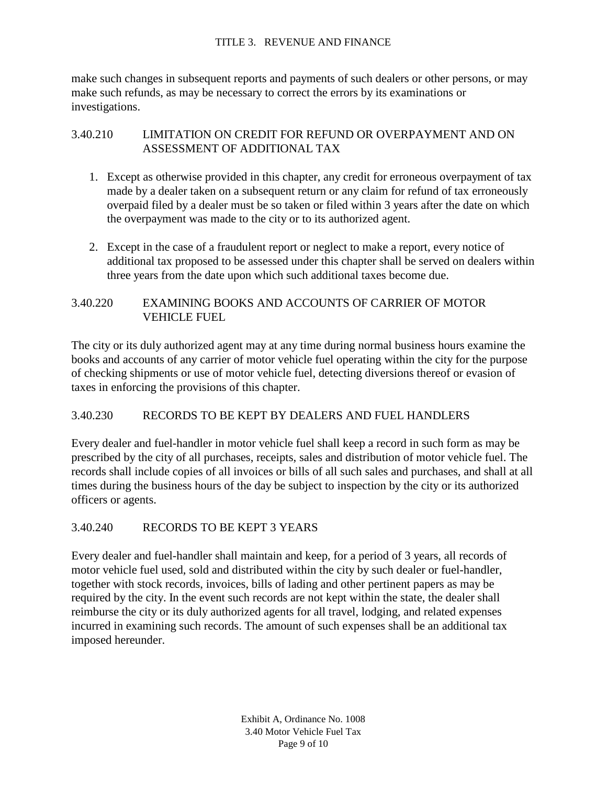#### TITLE 3. REVENUE AND FINANCE

make such changes in subsequent reports and payments of such dealers or other persons, or may make such refunds, as may be necessary to correct the errors by its examinations or investigations.

# 3.40.210 LIMITATION ON CREDIT FOR REFUND OR OVERPAYMENT AND ON ASSESSMENT OF ADDITIONAL TAX

- 1. Except as otherwise provided in this chapter, any credit for erroneous overpayment of tax made by a dealer taken on a subsequent return or any claim for refund of tax erroneously overpaid filed by a dealer must be so taken or filed within 3 years after the date on which the overpayment was made to the city or to its authorized agent.
- 2. Except in the case of a fraudulent report or neglect to make a report, every notice of additional tax proposed to be assessed under this chapter shall be served on dealers within three years from the date upon which such additional taxes become due.

# 3.40.220 EXAMINING BOOKS AND ACCOUNTS OF CARRIER OF MOTOR VEHICLE FUEL

The city or its duly authorized agent may at any time during normal business hours examine the books and accounts of any carrier of motor vehicle fuel operating within the city for the purpose of checking shipments or use of motor vehicle fuel, detecting diversions thereof or evasion of taxes in enforcing the provisions of this chapter.

# 3.40.230 RECORDS TO BE KEPT BY DEALERS AND FUEL HANDLERS

Every dealer and fuel-handler in motor vehicle fuel shall keep a record in such form as may be prescribed by the city of all purchases, receipts, sales and distribution of motor vehicle fuel. The records shall include copies of all invoices or bills of all such sales and purchases, and shall at all times during the business hours of the day be subject to inspection by the city or its authorized officers or agents.

# 3.40.240 RECORDS TO BE KEPT 3 YEARS

Every dealer and fuel-handler shall maintain and keep, for a period of 3 years, all records of motor vehicle fuel used, sold and distributed within the city by such dealer or fuel-handler, together with stock records, invoices, bills of lading and other pertinent papers as may be required by the city. In the event such records are not kept within the state, the dealer shall reimburse the city or its duly authorized agents for all travel, lodging, and related expenses incurred in examining such records. The amount of such expenses shall be an additional tax imposed hereunder.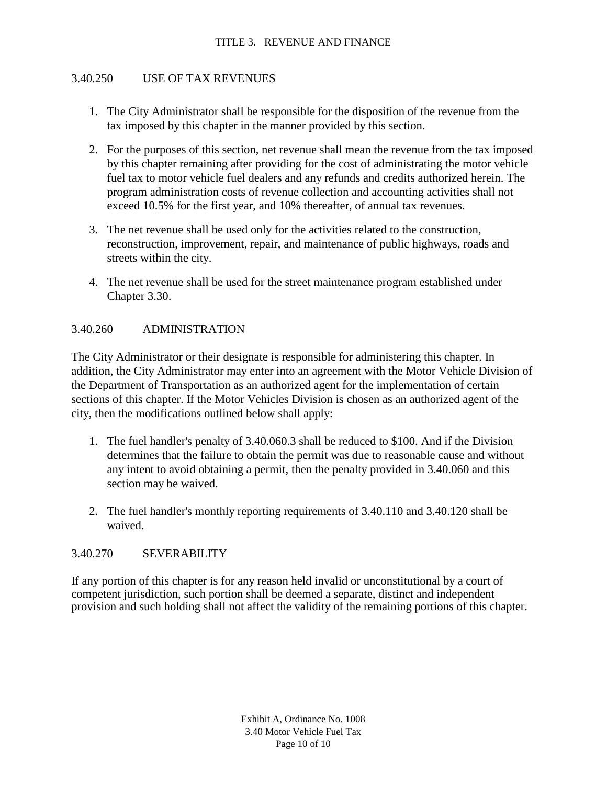## 3.40.250 USE OF TAX REVENUES

- 1. The City Administrator shall be responsible for the disposition of the revenue from the tax imposed by this chapter in the manner provided by this section.
- 2. For the purposes of this section, net revenue shall mean the revenue from the tax imposed by this chapter remaining after providing for the cost of administrating the motor vehicle fuel tax to motor vehicle fuel dealers and any refunds and credits authorized herein. The program administration costs of revenue collection and accounting activities shall not exceed 10.5% for the first year, and 10% thereafter, of annual tax revenues.
- 3. The net revenue shall be used only for the activities related to the construction, reconstruction, improvement, repair, and maintenance of public highways, roads and streets within the city.
- 4. The net revenue shall be used for the street maintenance program established under Chapter 3.30.

### 3.40.260 ADMINISTRATION

The City Administrator or their designate is responsible for administering this chapter. In addition, the City Administrator may enter into an agreement with the Motor Vehicle Division of the Department of Transportation as an authorized agent for the implementation of certain sections of this chapter. If the Motor Vehicles Division is chosen as an authorized agent of the city, then the modifications outlined below shall apply:

- 1. The fuel handler's penalty of 3.40.060.3 shall be reduced to \$100. And if the Division determines that the failure to obtain the permit was due to reasonable cause and without any intent to avoid obtaining a permit, then the penalty provided in 3.40.060 and this section may be waived.
- 2. The fuel handler's monthly reporting requirements of 3.40.110 and 3.40.120 shall be waived.

### 3.40.270 SEVERABILITY

If any portion of this chapter is for any reason held invalid or unconstitutional by a court of competent jurisdiction, such portion shall be deemed a separate, distinct and independent provision and such holding shall not affect the validity of the remaining portions of this chapter.

> Exhibit A, Ordinance No. 1008 3.40 Motor Vehicle Fuel Tax Page 10 of 10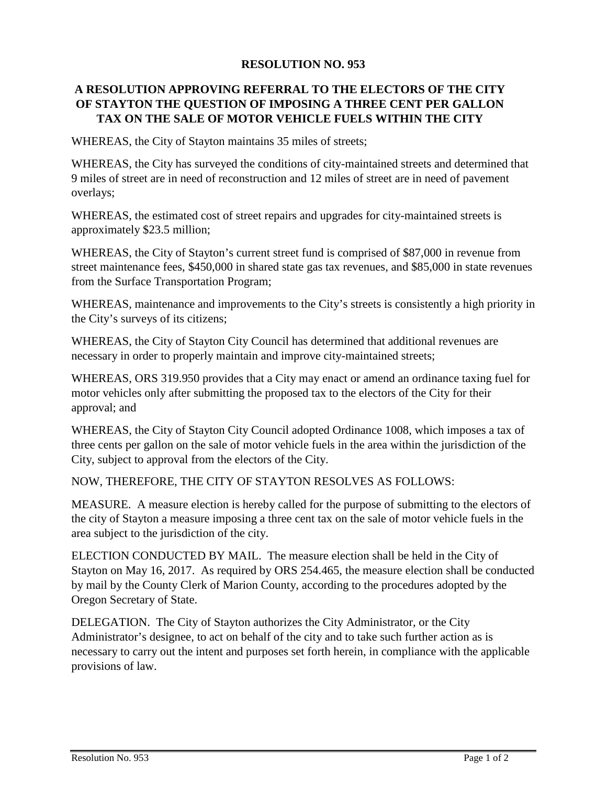# **RESOLUTION NO. 953**

# **A RESOLUTION APPROVING REFERRAL TO THE ELECTORS OF THE CITY OF STAYTON THE QUESTION OF IMPOSING A THREE CENT PER GALLON TAX ON THE SALE OF MOTOR VEHICLE FUELS WITHIN THE CITY**

WHEREAS, the City of Stayton maintains 35 miles of streets;

WHEREAS, the City has surveyed the conditions of city-maintained streets and determined that 9 miles of street are in need of reconstruction and 12 miles of street are in need of pavement overlays;

WHEREAS, the estimated cost of street repairs and upgrades for city-maintained streets is approximately \$23.5 million;

WHEREAS, the City of Stayton's current street fund is comprised of \$87,000 in revenue from street maintenance fees, \$450,000 in shared state gas tax revenues, and \$85,000 in state revenues from the Surface Transportation Program;

WHEREAS, maintenance and improvements to the City's streets is consistently a high priority in the City's surveys of its citizens;

WHEREAS, the City of Stayton City Council has determined that additional revenues are necessary in order to properly maintain and improve city-maintained streets;

WHEREAS, ORS 319.950 provides that a City may enact or amend an ordinance taxing fuel for motor vehicles only after submitting the proposed tax to the electors of the City for their approval; and

WHEREAS, the City of Stayton City Council adopted Ordinance 1008, which imposes a tax of three cents per gallon on the sale of motor vehicle fuels in the area within the jurisdiction of the City, subject to approval from the electors of the City.

NOW, THEREFORE, THE CITY OF STAYTON RESOLVES AS FOLLOWS:

MEASURE. A measure election is hereby called for the purpose of submitting to the electors of the city of Stayton a measure imposing a three cent tax on the sale of motor vehicle fuels in the area subject to the jurisdiction of the city.

ELECTION CONDUCTED BY MAIL. The measure election shall be held in the City of Stayton on May 16, 2017. As required by ORS 254.465, the measure election shall be conducted by mail by the County Clerk of Marion County, according to the procedures adopted by the Oregon Secretary of State.

DELEGATION. The City of Stayton authorizes the City Administrator, or the City Administrator's designee, to act on behalf of the city and to take such further action as is necessary to carry out the intent and purposes set forth herein, in compliance with the applicable provisions of law.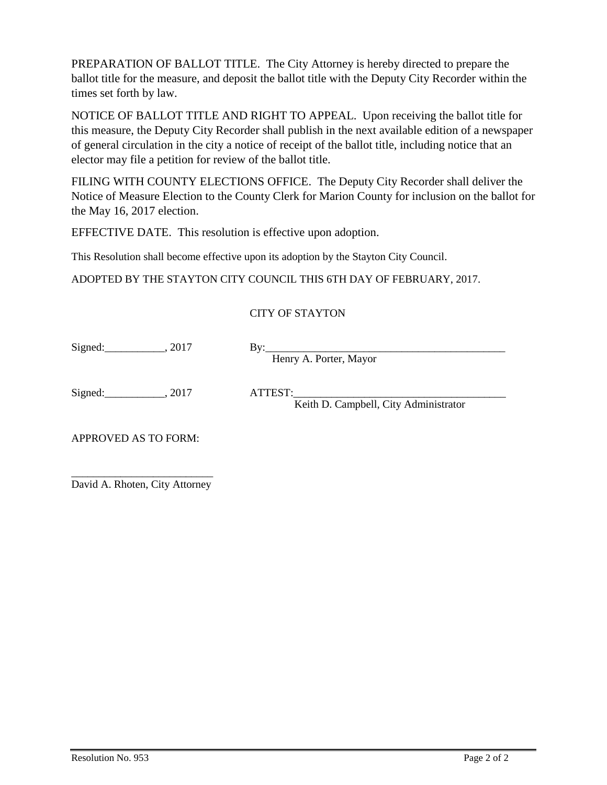PREPARATION OF BALLOT TITLE. The City Attorney is hereby directed to prepare the ballot title for the measure, and deposit the ballot title with the Deputy City Recorder within the times set forth by law.

NOTICE OF BALLOT TITLE AND RIGHT TO APPEAL. Upon receiving the ballot title for this measure, the Deputy City Recorder shall publish in the next available edition of a newspaper of general circulation in the city a notice of receipt of the ballot title, including notice that an elector may file a petition for review of the ballot title.

FILING WITH COUNTY ELECTIONS OFFICE. The Deputy City Recorder shall deliver the Notice of Measure Election to the County Clerk for Marion County for inclusion on the ballot for the May 16, 2017 election.

EFFECTIVE DATE. This resolution is effective upon adoption.

This Resolution shall become effective upon its adoption by the Stayton City Council.

ADOPTED BY THE STAYTON CITY COUNCIL THIS 6TH DAY OF FEBRUARY, 2017.

# CITY OF STAYTON

Signed:  $\frac{1}{2017}$ ,  $\frac{1}{2017}$  By:

Henry A. Porter, Mayor

Signed: \_\_\_\_\_\_\_\_\_\_\_, 2017 ATTEST:

Keith D. Campbell, City Administrator

APPROVED AS TO FORM:

\_\_\_\_\_\_\_\_\_\_\_\_\_\_\_\_\_\_\_\_\_\_\_\_\_\_ David A. Rhoten, City Attorney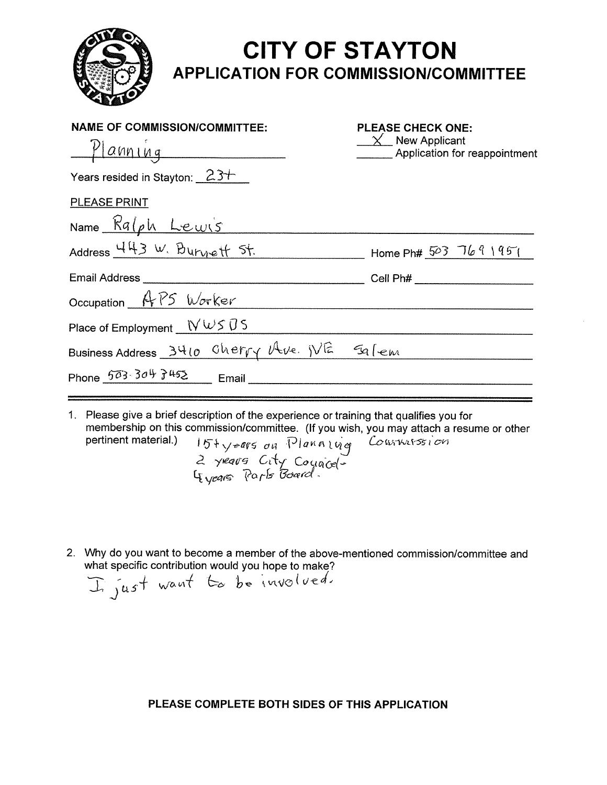

# **CITY OF STAYTON APPLICATION FOR COMMISSION/COMMITTEE**

| <b>PLEASE CHECK ONE:</b><br>$\chi$ New Applicant<br>Application for reappointment |
|-----------------------------------------------------------------------------------|
|                                                                                   |
|                                                                                   |
|                                                                                   |
| $\frac{1}{2}$ Home Ph# 503 7691951                                                |
| Cell Ph# ________________________                                                 |
|                                                                                   |
|                                                                                   |
| Business Address 3410 Cherry Ave. WE 59 Fem                                       |
| Phone $503.30\frac{4}{5}452$ Email                                                |
|                                                                                   |

- 1. Please give a brief description of the experience or training that qualifies you for membership on this commission/committee. (If you wish, you may attach a resume or other<br>pertinent material.)  $15\frac{1}{2} \sqrt{\frac{2005}{4}} \frac{d}{dx} \frac{d}{dx} \frac{d}{dx} \frac{d}{dx} \frac{d}{dx}$ <br> $\frac{d}{dx} \frac{d}{dx} \frac{d}{dx} \frac{d}{dx} \frac{d}{dx} \frac{d}{dx}$
- 2. Why do you want to become a member of the above-mentioned commission/committee and what specific contribution would you hope to make?